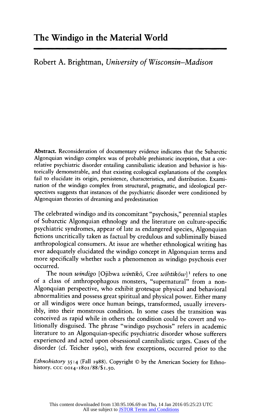## **Robert A. Brightman, University of Wisconsin-Madison**

**Abstract. Reconsideration of documentary evidence indicates that the Subarctic Algonquian windigo complex was of probable prehistoric inception, that a correlative psychiatric disorder entailing cannibalistic ideation and behavior is historically demonstrable, and that existing ecological explanations of the complex fail to elucidate its origin, persistence, characteristics, and distribution. Examination of the windigo complex from structural, pragmatic, and ideological perspectives suggests that instances of the psychiatric disorder were conditioned by Algonquian theories of dreaming and predestination** 

**The celebrated windigo and its concomitant "psychosis," perennial staples of Subarctic Algonquian ethnology and the literature on culture-specific psychiatric syndromes, appear of late as endangered species, Algonquian fictions uncritically taken as factual by credulous and subliminally biased anthropological consumers. At issue are whether ethnological writing has ever adequately elucidated the windigo concept in Algonquian terms and more specifically whether such a phenomenon as windigo psychosis ever occurred.** 

The noun *windigo* [Ojibwa *wintiko*, Cree *wihtikow*]<sup>1</sup> refers to one **of a class of anthropophagous monsters, "supernatural" from a non-Algonquian perspective, who exhibit grotesque physical and behavioral abnormalities and possess great spiritual and physical power. Either many or all windigos were once human beings, transformed, usually irreversibly, into their monstrous condition. In some cases the transition was conceived as rapid while in others the condition could be covert and volitionally disguised. The phrase "windigo psychosis" refers in academic literature to an Algonquian-specific psychiatric disorder whose sufferers experienced and acted upon obsessional cannibalistic urges. Cases of the disorder (cf. Teicher I960), with few exceptions, occurred prior to the** 

Ethnohistory 35:4 (Fall 1988). Copyright © by the American Society for Ethno**history. ccc ooI4-80oi/88/\$i.5o.**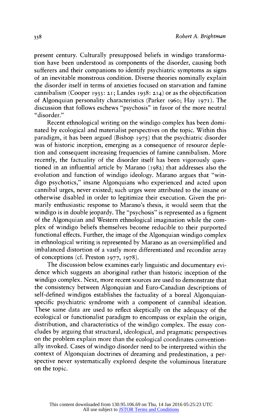**present century. Culturally presupposed beliefs in windigo transformation have been understood as components of the disorder, causing both sufferers and their companions to identify psychiatric symptoms as signs of an inevitable monstrous condition. Diverse theories nominally explain the disorder itself in terms of anxieties focused on starvation and famine cannibalism (Cooper 1933: 21; Landes 1938: 2I4) or as the objectification of Algonquian personality characteristics (Parker 1960; Hay I97I). The discussion that follows eschews "psychosis" in favor of the more neutral "disorder."** 

**Recent ethnological writing on the windigo complex has been dominated by ecological and materialist perspectives on the topic. Within this paradigm, it has been argued (Bishop 1975) that the psychiatric disorder was of historic inception, emerging as a consequence of resource depletion and consequent increasing frequencies of famine cannibalism. More recently, the factuality of the disorder itself has been vigorously questioned in an influential article by Marano (1982) that addresses also the evolution and function of windigo ideology. Marano argues that "windigo psychotics," insane Algonquians who experienced and acted upon cannibal urges, never existed; such urges were attributed to the insane or otherwise disabled in order to legitimize their execution. Given the primarily enthusiastic response to Marano's thesis, it would seem that the windigo is in double jeopardy. The "psychosis" is represented as a figment of the Algonquian and Western ethnological imagination while the complex of windigo beliefs themselves become reducible to their purported functional effects. Further, the image of the Algonquian windigo complex in ethnological writing is represented by Marano as an oversimplified and imbalanced distortion of a vastly more differentiated and recondite array of conceptions (cf. Preston 1977, I978).** 

**The discussion below examines early linguistic and documentary evidence which suggests an aboriginal rather than historic inception of the windigo complex. Next, more recent sources are used to demonstrate that the consistency between Algonquian and Euro-Canadian descriptions of self-defined windigos establishes the factuality of a boreal Algonquianspecific psychiatric syndrome with a component of cannibal ideation. These same data are used to reflect skeptically on the adequacy of the ecological or functionalist paradigm to encompass or explain the origin, distribution, and characteristics of the windigo complex. The essay concludes by arguing that structural, ideological, and pragmatic perspectives on the problem explain more than the ecological coordinates conventionally invoked. Cases of windigo disorder need to be interpreted within the context of Algonquian doctrines of dreaming and predestination, a perspective never systematically explored despite the voluminous literature on the topic.**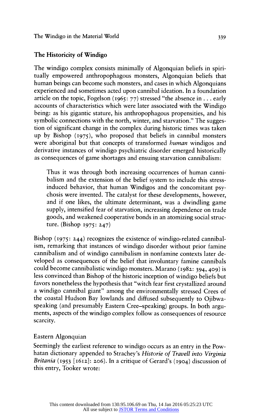## **The Historicity of Windigo**

**The windigo complex consists minimally of Algonquian beliefs in spiritually empowered anthropophagous monsters, Algonquian beliefs that human beings can become such monsters, and cases in which Algonquians experienced and sometimes acted upon cannibal ideation. In a foundation article on the topic, Fogelson (1965: 77) stressed "the absence in ... early accounts of characteristics which were later associated with the Windigo being: as his gigantic stature, his anthropophagous propensities, and his symbolic connections with the north, winter, and starvation." The suggestion of significant change in the complex during historic times was taken up by Bishop (1975), who proposed that beliefs in cannibal monsters were aboriginal but that concepts of transformed human windigos and derivative instances of windigo psychiatric disorder emerged historically as consequences of game shortages and ensuing starvation cannibalism:** 

**Thus it was through both increasing occurrences of human cannibalism and the extension of the belief system to include this stressinduced behavior, that human Windigos and the concomitant psychosis were invented. The catalyst for these developments, however, and if one likes, the ultimate determinant, was a dwindling game supply, intensified fear of starvation, increasing dependence on trade goods, and weakened cooperative bonds in an atomizing social structure. (Bishop 1975: 247)** 

**Bishop (1975: 244) recognizes the existence of windigo-related cannibalism, remarking that instances of windigo disorder without prior famine cannibalism and of windigo cannibalism in nonfamine contexts later developed as consequences of the belief that involuntary famine cannibals could become cannibalistic windigo monsters. Marano (I982: 394, 409) is less convinced than Bishop of the historic inception of windigo beliefs but favors nonetheless the hypothesis that "witch fear first crystallized around a windigo cannibal giant" among the environmentally stressed Crees of the coastal Hudson Bay lowlands and diffused subsequently to Ojibwaspeaking (and presumably Eastern Cree-speaking) groups. In both arguments, aspects of the windigo complex follow as consequences of resource scarcity.** 

## **Eastern Algonquian**

**Seemingly the earliest reference to windigo occurs as an entry in the Powhatan dictionary appended to Strachey's Historie of Travell into Virginia Britania (I953 [I6Iz]: 2o6). In a critique of Gerard's (I904) discussion of this entry, Tooker wrote:**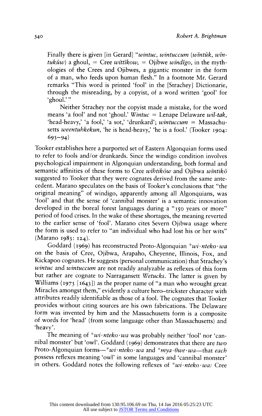Finally there is given [in Gerard] "wintuc, wintuccum (wintuk, win $tuk \hat{u}w$  a ghoul, = Cree *wittikow*, = Ojibwe *windigo*, in the myth**ologies of the Crees and Ojibwes, a gigantic monster in the form of a man, who feeds upon human flesh." In a footnote Mr. Gerard remarks "This word is printed 'fool' in the [Strachey] Dictionarie, through the misreading, by a copyist, of a word written 'gool' for 'ghoul.'"** 

**Neither Strachey nor the copyist made a mistake, for the word means 'a fool' and not 'ghoul.' Wintuc = Lenape Delaware wil-tak, 'head-heavy,' 'a fool,' 'a sot,' 'drunkard'; wintuccum = Massachusetts weentuhkekun, 'he is head-heavy,' 'he is a fool.' (Tooker I904: 693-94)** 

**Tooker establishes here a purported set of Eastern Algonquian forms used to refer to fools and/or drunkards. Since the windigo condition involves psychological impairment in Algonquian understanding, both formal and**  semantic affinities of these forms to Cree wihtikow and Ojibwa wintiko **suggested to Tooker that they were cognates derived from the same antecedent. Marano speculates on the basis of Tooker's conclusions that "the original meaning" of windigo, apparently among all Algonquians, was 'fool' and that the sense of 'cannibal monster' is a semantic innovation developed in the boreal forest languages during a "I50 years or more" period of food crises. In the wake of these shortages, the meaning reverted to the earlier sense of 'fool'. Marano cites Severn Ojibwa usage where the form is used to refer to "an individual who had lost his or her wits" (Marano 1983: 124).** 

Goddard (1969) has reconstructed Proto-Algonquian \*wi·nteko·wa **on the basis of Cree, Ojibwa, Arapaho, Cheyenne, Illinois, Fox, and Kickapoo cognates. He suggests (personal communication) that Strachey's wintuc and wintuccum are not readily analyzable as reflexes of this form**  but rather are cognate to Narragansett Wetucks. The latter is given by **Williams (I973 [I643]) as the proper name of "a man who wrought great Miracles amongst them," evidently a culture hero-trickster character with attributes readily identifiable as those of a fool. The cognates that Tooker provides without citing sources are his own fabrications. The Delaware form was invented by him and the Massachusetts form is a composite of words for 'head' (from some language other than Massachusetts) and 'heavy'.** 

The meaning of  $\sqrt[k]{w} \cdot n$ teko wa was probably neither 'fool' nor 'can**nibal monster' but 'owl'. Goddard (I969) demonstrates that there are two**  Proto-Algonquian forms-<sup>\*</sup>wi·nteko·wa and \*mya· $\theta$ we·wa-that each **possess reflexes meaning 'owl' in some languages and 'cannibal monster' in others. Goddard notes the following reflexes of \*'wi nteko wa: Cree**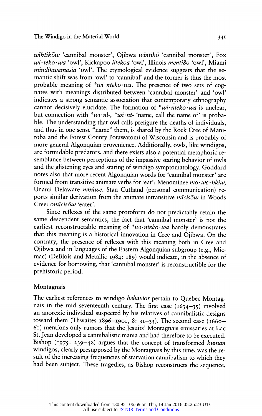wihtikow 'cannibal monster', Ojibwa wintiko 'cannibal monster', Fox **wi. teko wa 'owl', Kickapoo iitekoa 'owl', Illinois menti8o 'owl', Miami mindikwamasia 'owl'. The etymological evidence suggests that the semantic shift was from 'owl' to 'cannibal' and the former is thus the most**  probable meaning of  $*wi \cdot nteko \cdot wa$ . The presence of two sets of cog**nates with meanings distributed between 'cannibal monster' and 'owl' indicates a strong semantic association that contemporary ethnography**  cannot decisively elucidate. The formation of *\*wi·nteko·wa* is unclear, but connection with  $*wi\cdot nl$ ,  $*wi\cdot nt$  'name, call the name of' is proba**ble. The understanding that owl calls prefigure the deaths of individuals, and thus in one sense "name" them, is shared by the Rock Cree of Manitoba and the Forest County Potawatomi of Wisconsin and is probably of more general Algonquian provenience. Additionally, owls, like windigos, are formidable predators, and there exists also a potential metaphoric resemblance between perceptions of the impassive staring behavior of owls and the glistening eyes and staring of windigo symptomatology. Goddard notes also that more recent Algonquian words for 'cannibal monster' are formed from transitive animate verbs for 'eat': Menominee mo we hkiw,** Unami Delaware *mhúwe*. Stan Cuthand (personal communication) re**ports similar derivation from the animate intransitive** *mīcisōw* **in Woods Cree: omicisow 'eater'.** 

**Since reflexes of the same protoform do not predictably retain the same descendent semantics, the fact that 'cannibal monster' is not the**  earliest reconstructable meaning of  $\alpha w$ *i*  $\alpha$  wi $\alpha$  hardly demonstrates **that this meaning is a historical innovation in Cree and Ojibwa. On the contrary, the presence of reflexes with this meaning both in Cree and Ojibwa and in languages of the Eastern Algonquian subgroup (e.g., Micmac) (DeBlois and Metallic 1984: I89) would indicate, in the absence of evidence for borrowing, that 'cannibal monster' is reconstructible for the prehistoric period.** 

## **Montagnais**

**The earliest references to windigo behavior pertain to Quebec Montagnais in the mid seventeenth century. The first case (1634-35) involved an anorexic individual suspected by his relatives of cannibalistic designs toward them (Thwaites I896-I9OI, 8: 31-33). The second case (I660- 61) mentions only rumors that the Jesuits' Montagnais emissaries at Lac St. Jean developed a cannibalistic mania and had therefore to be executed. Bishop (I975: 239-42) argues that the concept of transformed human windigos, clearly presupposed by the Montagnais by this time, was the result of the increasing frequencies of starvation cannibalism to which they had been subject. These tragedies, as Bishop reconstructs the sequence,**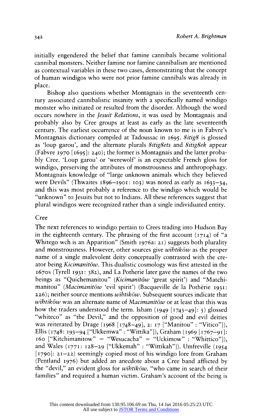**initially engendered the belief that famine cannibals became volitional cannibal monsters. Neither famine nor famine cannibalism are mentioned as contextual variables in these two cases, demonstrating that the concept of human windigos who were not prior famine cannibals was already in place.** 

**Bishop also questions whether Montagnais in the seventeenth century associated cannibalistic insanity with a specifically named windigo monster who initiated or resulted from the disorder. Although the word occurs nowhere in the Jesuit Relations, it was used by Montagnais and probably also by Cree groups at least as early as the late seventeenth century. The earliest occurrence of the noun known to me is in Fabvre's Montagnais dictionary compiled at Tadoussac in 1695. 8itig8 is glossed as 'loup garou', and the alternate plurals 8itig8ets and 8itig8ek appear (Fabvre 1970 [1695]: 240); the former is Montagnais and the latter probably Cree. 'Loup garou' or 'werewolf' is an expectable French gloss for windigo, preserving the attributes of monstrousness and anthropophagy. Montagnais knowledge of "large unknown animals which they believed were Devils" (Thwaites I896-I9OI: I03) was noted as early as 1633-34, and this was most probably a reference to the windigo which would be "unknown" to Jesuits but not to Indians. All these references suggest that plural windigos were recognized rather than a single individuated entity.** 

## **Cree**

**The next references to windigo pertain to Crees trading into Hudson Bay in the eighteenth century. The phrasing of the first account (1714) of "a Whitego wch is an Apparition" (Smith I976a: 21) suggests both plurality**  and monstrousness. However, other sources give *wibtikow* as the proper **name of a single malevolent deity conceptually contrasted with the creator being Kicimanitow. This dualistic cosmology was first attested in the I67os (Tyrell 1931: 382), and La Potherie later gave the names of the two**  beings as "Quichemanitou" (Kicimanitow 'great spirit') and "Matchimanitou" (Macimanitow 'evil spirit') (Bacqueville de la Pothèrie 1931: *z***<sub>26</sub>); neither source mentions** *wihtikow***. Subsequent sources indicate that** wihtikow was an alternate name of Macimanitow or at least that this was **how the traders understood the term. Isham (I949 [1743-49]: 5) glossed "whiteco" as "the Devil," and the opposition of good and evil deities was reiterated by Drage (I968 [I748-49], z: 17 ["Manitou" : "Vitico"]), Ellis (1748: I93-94 ["Ukkemwa": "Wittika"]), Graham (1969 [1767-9I]: i60 ["Kitchimanitow" = "Wesucacha" = "Uckimow" : "Whittico"]), and Wales (1771: 128-29 ["Ukkemah" : "Wittikah"]). Umfreville (1954 [I790]: 21-22) seemingly copied most of his windigo lore from Graham (Pentland 1976) but added an anecdote about a Cree band afflicted by**  the "devil," an evident gloss for *wihtikow*, "who came in search of their **families" and required a human victim. Graham's account of the being is**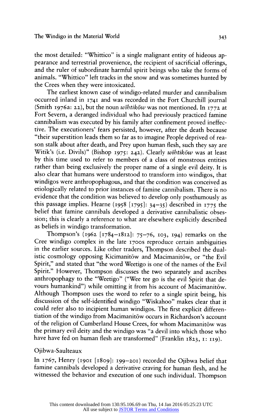**the most detailed: "Whittico" is a single malignant entity of hideous appearance and terrestrial provenience, the recipient of sacrificial offerings, and the ruler of subordinate harmful spirit beings who take the forms of animals. "Whittico" left tracks in the snow and was sometimes hunted by the Crees when they were intoxicated.** 

**The earliest known case of windigo-related murder and cannibalism occurred inland in 1741 and was recorded in the Fort Churchill journal**  (Smith 1976a: 22), but the noun *wihtikow* was not mentioned. In 1772 at **Fort Severn, a deranged individual who had previously practiced famine cannibalism was executed by his family after confinement proved ineffective. The executioners' fears persisted, however, after the death because "their superstition leads them so far as to imagine People deprived of reason stalk about after death, and Prey upon human flesh, such they say are**  Witik's (i.e. Divils)" (Bishop 1975: 242). Clearly *wihtikow* was at least **by this time used to refer to members of a class of monstrous entities rather than being exclusively the proper name of a single evil deity. It is also clear that humans were understood to transform into windigos, that windigos were anthropophagous, and that the condition was conceived as etiologically related to prior instances of famine cannibalism. There is no evidence that the condition was believed to develop only posthumously as this passage implies. Hearne (1958 [1795]: 34-35) described in 1775 the belief that famine cannibals developed a derivative cannibalistic obsession; this is clearly a reference to what are elsewhere explicitly described as beliefs in windigo transformation.** 

**Thompson's (I962 [I784-I8I2]: 75-76, I03, I94) remarks on the Cree windigo complex in the late 700oos reproduce certain ambiguities in the earlier sources. Like other traders, Thompson described the dual**istic cosmology opposing Kicimanitow and Macimanitow, or "the Evil **Spirit," and stated that "the word Weetigo is one of the names of the Evil Spirit." However, Thompson discusses the two separately and ascribes anthropophagy to the "Weetigo" ("Wee tee go is the evil Spirit that devours humankind") while omitting it from his account of Macimanitow. Although Thompson uses the word to refer to a single spirit being, his discussion of the self-identified windigo "Wiskahoo" makes clear that it could refer also to incipient human windigos. The first explicit differentiation of the windigo from Macimanitow occurs in Richardson's account of the religion of Cumberland House Crees, for whom Macimanitow was the primary evil deity and the windigo was "a devil into which those who have have fed on human flesh are transformed" (Franklin I823, I: 119).** 

## **Ojibwa-Saulteaux**

**In 1767, Henry (19oI [I809]: I99-20I) recorded the Ojibwa belief that famine cannibals developed a derivative craving for human flesh, and he witnessed the behavior and execution of one such individual. Thompson**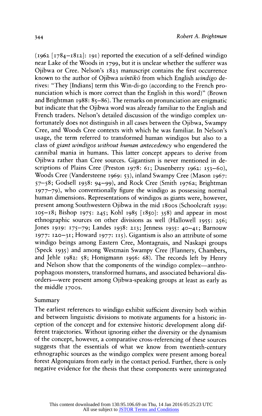**(1962 [I784-I8I2]: I9I) reported the execution of a self-defined windigo near Lake of the Woods in 1799, but it is unclear whether the sufferer was Ojibwa or Cree. Nelson's I823 manuscript contains the first occurrence**  known to the author of Ojibwa *wintiko* from which English *windigo* de**rives: "They [Indians] term this Win-di-go (according to the French pronunciation which is more correct than the English in this word)" (Brown and Brightman I988: 85-86). The remarks on pronunciation are enigmatic but indicate that the Ojibwa word was already familiar to the English and French traders. Nelson's detailed discussion of the windigo complex unfortunately does not distinguish in all cases between the Ojibwa, Swampy Cree, and Woods Cree contexts with which he was familiar. In Nelson's usage, the term referred to transformed human windigos but also to a class of giant windigos without human antecedency who engendered the cannibal mania in humans. This latter concept appears to derive from Ojibwa rather than Cree sources. Gigantism is never mentioned in descriptions of Plains Cree (Preston 1978: 61; Dusenberry 1962: 153-60), Woods Cree (Vandersteene 1969: 53), inland Swampy Cree (Mason 1967: 57-58; Godsell 1938: 94-99), and Rock Cree (Smith I976a; Brightman 1977-79), who conventionally figure the windigo as possessing normal human dimensions. Representations of windigos as giants were, however, present among Southwestern Ojibwa in the mid i8oos (Schoolcraft 1939: Io5-I8; Bishop I975: 245; Kohl I985 [I850]: 358) and appear in most ethnographic sources on other divisions as well (Hallowell 1955: z56; Jones I919: 175-79; Landes I938: zI3; Jenness I935: 40-4I; Barnouw 1977: I20-3I; Howard 1977: II5). Gigantism is also an attribute of some windigo beings among Eastern Cree, Montagnais, and Naskapi groups (Speck 1935) and among Westmain Swampy Cree (Flannery, Chambers, and Jehle 1982: 58; Honigmann I956: 68). The records left by Henry and Nelson show that the components of the windigo complex-anthropophagous monsters, transformed humans, and associated behavioral disorders-were present among Ojibwa-speaking groups at least as early as the middle I700s.** 

## **Summary**

**The earliest references to windigo exhibit sufficient diversity both within and between linguistic divisions to motivate arguments for a historic inception of the concept and for extensive historic development along different trajectories. Without ignoring either the diversity or the dynamism of the concept, however, a comparative cross-referencing of these sources suggests that the essentials of what we know from twentieth-century ethnographic sources as the windigo complex were present among boreal forest Algonquians from early in the contact period. Further, there is only negative evidence for the thesis that these components were unintegrated**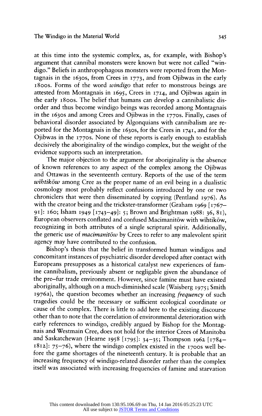**at this time into the systemic complex, as, for example, with Bishop's argument that cannibal monsters were known but were not called "windigo." Beliefs in anthropophagous monsters were reported from the Montagnais in the I63os, from Crees in I773, and from Ojibwas in the early i8oos. Forms of the word windigo that refer to monstrous beings are attested from Montagnais in 1695, Crees in I714, and Ojibwas again in the early i8oos. The belief that humans can develop a cannibalistic disorder and thus become windigo beings was recorded among Montagnais in the I63os and among Crees and Ojibwas in the I77os. Finally, cases of behavioral disorder associated by Algonquians with cannibalism are reported for the Montagnais in the I63os, for the Crees in I74I, and for the Ojibwas in the I770s. None of these reports is early enough to establish decisively the aboriginality of the windigo complex, but the weight of the evidence supports such an interpretation.** 

**The major objection to the argument for aboriginality is the absence of known references to any aspect of the complex among the Ojibwas and Ottawas in the seventeenth century. Reports of the use of the term**  wihtikow among Cree as the proper name of an evil being in a dualistic **cosmology most probably reflect confusions introduced by one or two chroniclers that were then disseminated by copying (Pentland 1976). As with the creator being and the trickster-transformer (Graham 1969 [I767- 9I]: I60; Isham I949 [1743-49]: 5; Brown and Brightman I988: 36, 8i), European observers conflated and confused Macimanitow with wihtikow, recognizing in both attributes of a single scriptural spirit. Additionally, the generic use of macimanitow by Crees to refer to any malevolent spirit agency may have contributed to the confusion.** 

**Bishop's thesis that the belief in transformed human windigos and concomitant instances of psychiatric disorder developed after contact with Europeans presupposes as a historical catalyst new experiences of famine cannibalism, previously absent or negligable given the abundance of the pre-fur trade environment. However, since famine must have existed aboriginally, although on a much-diminished scale (Waisberg 1975; Smith I976a), the question becomes whether an increasing frequency of such tragedies could be the necessary or sufficient ecological coordinate or cause of the complex. There is little to add here to the existing discourse other than to note that the correlation of environmental deterioration with early references to windigo, credibly argued by Bishop for the Montagnais and Westmain Cree, does not hold for the interior Crees of Manitoba and Saskatchewan (Hearne I958 [1795]: 34-35; Thompson 1962 [I784-**  1812: 75-76), where the windigo complex existed in the 1700s well be**fore the game shortages of the nineteenth century. It is probable that an increasing frequency of windigo-related disorder rather than the complex itself was associated with increasing frequencies of famine and starvation**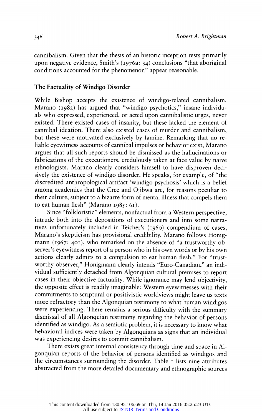**cannibalism. Given that the thesis of an historic inception rests primarily upon negative evidence, Smith's (I976a: 34) conclusions "that aboriginal conditions accounted for the phenomenon" appear reasonable.** 

## **The Factuality of Windigo Disorder**

**While Bishop accepts the existence of windigo-related cannibalism,**  Marano (1982) has argued that "windigo psychotics," insane individu**als who expressed, experienced, or acted upon cannibalistic urges, never existed. There existed cases of insanity, but these lacked the element of cannibal ideation. There also existed cases of murder and cannibalism, but these were motivated exclusively by famine. Remarking that no reliable eyewitness accounts of cannibal impulses or behavior exist, Marano argues that all such reports should be dismissed as the hallucinations or fabrications of the executioners, credulously taken at face value by naive ethnologists. Marano clearly considers himself to have disproven decisively the existence of windigo disorder. He speaks, for example, of "the discredited anthropological artifact 'windigo psychosis' which is a belief among academics that the Cree and Ojibwa are, for reasons peculiar to their culture, subject to a bizarre form of mental illness that compels them to eat human flesh" (Marano I985: 6i).** 

**Since "folkloristic" elements, nonfactual from a Western perspective, intrude both into the depositions of executioners and into some narratives unfortunately included in Teicher's (I960) compendium of cases, Marano's skepticism has provisional credibility. Marano follows Honigmann (I967: 40I), who remarked on the absence of "a trustworthy observer's eyewitness report of a person who in his own words or by his own actions clearly admits to a compulsion to eat human flesh." For "trustworthy observer," Honigmann clearly intends "Euro-Canadian," an individual sufficiently detached from Algonquian cultural premises to report cases in their objective factuality. While ignorance may lend objectivity, the opposite effect is readily imaginable: Western eyewitnesses with their commitments to scriptural or positivistic worldviews might leave us texts more refractory than the Algonquian testimony to what human windigos were experiencing. There remains a serious difficulty with the summary dismissal of all Algonquian testimony regarding the behavior of persons identified as windigo. As a semiotic problem, it is necessary to know what behavioral indices were taken by Algonquians as signs that an individual was experiencing desires to commit cannibalism.** 

**There exists great internal consistency through time and space in Algonquian reports of the behavior of persons identified as windigos and the circumstances surrounding the disorder. Table i lists nine attributes abstracted from the more detailed documentary and ethnographic sources**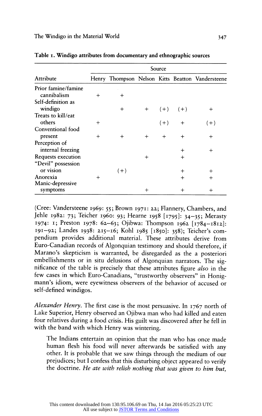|                                          | Source  |        |           |           |          |                                                  |  |
|------------------------------------------|---------|--------|-----------|-----------|----------|--------------------------------------------------|--|
| Attribute                                |         |        |           |           |          | Henry Thompson Nelson Kitts Beatton Vandersteene |  |
| Prior famine/famine<br>cannibalism       | $^{+}$  | $\pm$  |           |           |          |                                                  |  |
| Self-definition as<br>windigo            |         | $^{+}$ | $^{+}$    | $(+)$     | $(+)$    | $^{+}$                                           |  |
| Treats to kill/eat                       |         |        |           |           |          |                                                  |  |
| others                                   | $^{+}$  |        |           | $(+)$     | $^{+}$   | $(+)$                                            |  |
| Conventional food                        |         |        |           |           |          |                                                  |  |
| present                                  | $^{+}$  |        | $^{+}$    | $\ddot{}$ | $^{+}$   | $^{+}$                                           |  |
| Perception of<br>internal freezing       |         |        |           |           | $\,{}^+$ | $^{+}$                                           |  |
| Requests execution<br>"Devil" possession |         |        | $\ddot{}$ |           | $^{+}$   |                                                  |  |
| or vision                                |         | $(+)$  |           |           | $^+$     | $^{+}$                                           |  |
| Anorexia<br>Manic-depressive             | $\,+\,$ |        |           |           | $^{+}$   | $\ddot{}$                                        |  |
| symptoms                                 |         |        | $^+$      |           |          | $^+$                                             |  |

| Table 1. Windigo attributes from documentary and ethnographic sources |
|-----------------------------------------------------------------------|
|                                                                       |

**(Cree: Vandersteene 1969: 55; Brown I97I: 22; Flannery, Chambers, and Jehle 1982: 73; Teicher 1960: 93; Hearne 1958 [1795]: 34-35; Merasty 1974: I; Preston 1978: 62-63; Ojibwa: Thompson i962 [1784-I812]: 191-92; Landes 1938: zI5-I6; Kohl 1985 [1850]: 358); Teicher's compendium provides additional material. These attributes derive from Euro-Canadian records of Algonquian testimony and should therefore, if Marano's skepticism is warranted, be disregarded as the a posteriori embellishments or in situ delusions of Algonquian narrators. The significance of the table is precisely that these attributes figure also in the few cases in which Euro-Canadians, "trustworthy observers" in Honigmann's idiom, were eyewitness observers of the behavior of accused or self-defined windigos.** 

**Alexander Henry. The first case is the most persuasive. In 1767 north of Lake Superior, Henry observed an Ojibwa man who had killed and eaten four relatives during a food crisis. His guilt was discovered after he fell in with the band with which Henry was wintering.** 

**The Indians entertain an opinion that the man who has once made human flesh his food will never afterwards be satisfied with any other. It is probable that we saw things through the medium of our prejudices; but I confess that this disturbing object appeared to verify the doctrine. He ate with relish nothing that was given to him but,**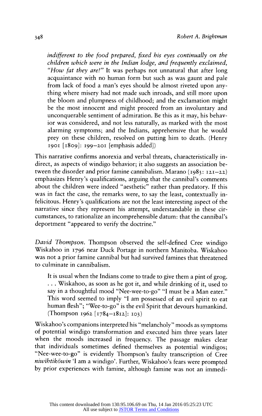**indifferent to the food prepared, fixed his eyes continually on the children which were in the Indian lodge, and frequently exclaimed, "How fat they are!" It was perhaps not unnatural that after long acquaintance with no human form but such as was gaunt and pale from lack of food a man's eyes should be almost riveted upon anything where misery had not made such inroads, and still more upon the bloom and plumpness of childhood; and the exclamation might be the most innocent and might proceed from an involuntary and unconquerable sentiment of admiration. Be this as it may, his behavior was considered, and not less naturally, as marked with the most alarming symptoms; and the Indians, apprehensive that he would prey on these children, resolved on putting him to death. (Henry I9OI [I809]: I99-ZOI [emphasis added])** 

**This narrative confirms anorexia and verbal threats, characteristically indirect, as aspects of windigo behavior; it also suggests an association between the disorder and prior famine cannibalism. Marano (I983: IZI-z2) emphasizes Henry's qualifications, arguing that the cannibal's comments about the children were indeed "aesthetic" rather than predatory. If this was in fact the case, the remarks were, to say the least, contextually infelicitous. Henry's qualifications are not the least interesting aspect of the narrative since they represent his attempt, understandable in these circumstances, to rationalize an incomprehensible datum: that the cannibal's deportment "appeared to verify the doctrine."** 

**David Thompson. Thompson observed the self-defined Cree windigo Wiskahoo in I796 near Duck Portage in northern Manitoba. Wiskahoo was not a prior famine cannibal but had survived famines that threatened to culminate in cannibalism.** 

**It is usual when the Indians come to trade to give them a pint of grog. ... Wiskahoo, as soon as he got it, and while drinking of it, used to say in a thoughtful mood "Nee-wee-to-go" "I must be a Man eater." This word seemed to imply "I am possessed of an evil spirit to eat human flesh"; "Wee-to-go" is the evil Spirit that devours humankind. (Thompson 1962 [I784-I8I2]: I03)** 

**Wiskahoo's companions interpreted his "melancholy" moods as symptoms of potential windigo transformation and executed him three years later when the moods increased in frequency. The passage makes clear that individuals sometimes defined themselves as potential windigos; "Nee-wee-to-go" is evidently Thompson's faulty transcription of Cree niwihtik6win 'I am a windigo'. Further, Wiskahoo's fears were prompted by prior experiences with famine, although famine was not an immedi-**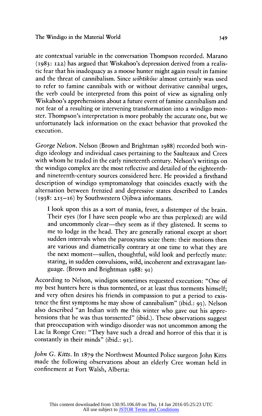**ate contextual variable in the conversation Thompson recorded. Marano (I983: izz) has argued that Wiskahoo's depression derived from a realistic fear that his inadequacy as a moose hunter might again result in famine**  and the threat of cannibalism. Since *wihtikow* almost certainly was used **to refer to famine cannibals with or without derivative cannibal urges, the verb could be interpreted from this point of view as signaling only Wiskahoo's apprehensions about a future event of famine cannibalism and not fear of a resulting or intervening transformation into a windigo monster. Thompson's interpretation is more probably the accurate one, but we unfortunately lack information on the exact behavior that provoked the execution.** 

**George Nelson. Nelson (Brown and Brightman I988) recorded both windigo ideology and individual cases pertaining to the Saulteaux and Crees with whom he traded in the early nineteenth century. Nelson's writings on the windigo complex are the most reflective and detailed of the eighteenthand nineteenth-century sources considered here. He provided a firsthand description of windigo symptomatology that coincides exactly with the alternation between frenzied and depressive states described to Landes (1938: I25-I6) by Southwestern Ojibwa informants.** 

**I look upon this as a sort of mania, fever, a distemper of the brain. Their eyes (for I have seen people who are thus perplexed) are wild and uncommonly clear-they seem as if they glistened. It seems to me to lodge in the head. They are generally rational except at short sudden intervals when the paroxysms seize them: their motions then are various and diametrically contrary at one time to what they are the next moment-sullen, thoughtful, wild look and perfectly mute: staring, in sudden convulsions, wild, incoherent and extravagant language. (Brown and Brightman 1988: 9I)** 

**According to Nelson, windigos sometimes requested execution: "One of my best hunters here is thus tormented, or at least thus torments himself; and very often desires his friends in compassion to put a period to existence the first symptoms he may show of cannibalism" (ibid.: 93). Nelson also described "an Indian with me this winter who gave out his apprehensions that he was thus tormented" (ibid.). These observations suggest that preoccupation with windigo disorder was not uncommon among the Lac la Ronge Cree: "They have such a dread and horror of this that it is constantly in their minds" (ibid.: 91).** 

**John G. Kitts. In I879 the Northwest Mounted Police surgeon John Kitts made the following observations about an elderly Cree woman held in confinement at Fort Walsh, Alberta:**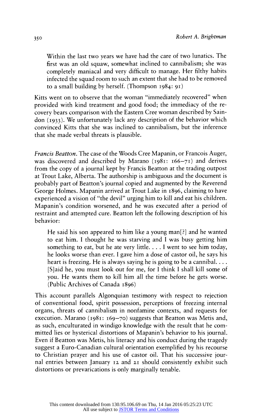**Within the last two years we have had the care of two lunatics. The first was an old squaw, somewhat inclined to cannibalism; she was completely maniacal and very difficult to manage. Her filthy habits infected the squad room to such an extent that she had to be removed to a small building by herself. (Thompson 1984: 91)** 

**Kitts went on to observe that the woman "immediately recovered" when provided with kind treatment and good food; the immediacy of the recovery bears comparison with the Eastern Cree woman described by Saindon (I933). We unfortunately lack any description of the behavior which convinced Kitts that she was inclined to cannibalism, but the inference that she made verbal threats is plausible.** 

**Francis Beatton. The case of the Woods Cree Mapanin, or Francois Auger, was discovered and described by Marano (I98I: 166-71) and derives from the copy of a journal kept by Francis Beatton at the trading outpost at Trout Lake, Alberta. The authorship is ambiguous and the document is probably part of Beatton's journal copied and augmented by the Reverend George Holmes. Mapanin arrived at Trout Lake in I896, claiming to have experienced a vision of "the devil" urging him to kill and eat his children. Mapanin's condition worsened, and he was executed after a period of restraint and attempted cure. Beatton left the following description of his behavior:** 

**He said his son appeared to him like a young man[?] and he wanted to eat him. I thought he was starving and I was busy getting him something to eat, but he ate very little.... I went to see him today, he looks worse than ever. I gave him a dose of castor oil, he says his heart is freezing. He is always saying he is going to be a cannibal.... [S]aid he, you must look out for me, for I think I shall kill some of you. He wants them to kill him all the time before he gets worse. (Public Archives of Canada I896)** 

**This account parallels Algonquian testimony with respect to rejection of conventional food, spirit possession, perceptions of freezing internal organs, threats of cannibalism in nonfamine contexts, and requests for execution. Marano (198I: 169-70) suggests that Beatton was Metis and, as such, enculturated in windigo knowledge with the result that he committed lies or hysterical distortions of Mapanin's behavior to his journal. Even if Beatton was Metis, his literacy and his conduct during the tragedy suggest a Euro-Canadian cultural orientation exemplified by his recourse to Christian prayer and his use of castor oil. That his successive jour**nal entries between January 12 and 21 should consistently exhibit such **distortions or prevarications is only marginally tenable.**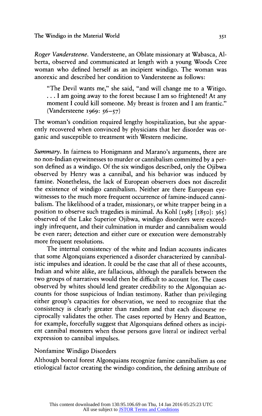**Roger Vandersteene. Vandersteene, an Oblate missionary at Wabasca, Alberta, observed and communicated at length with a young Woods Cree woman who defined herself as an incipient windigo. The woman was anorexic and described her condition to Vandersteene as follows:** 

**"The Devil wants me," she said, "and will change me to a Witigo. ... I am going away to the forest because I am so frightened! At any moment I could kill someone. My breast is frozen and I am frantic." (Vandersteene I969: 56-57)** 

**The woman's condition required lengthy hospitalization, but she apparently recovered when convinced by physicians that her disorder was organic and susceptible to treatment with Western medicine.** 

**Summary. In fairness to Honigmann and Marano's arguments, there are no non-Indian eyewitnesses to murder or cannibalism committed by a person defined as a windigo. Of the six windigos described, only the Ojibwa observed by Henry was a cannibal, and his behavior was induced by famine. Nonetheless, the lack of European observers does not discredit the existence of windigo cannibalism. Neither are there European eyewitnesses to the much more frequent occurrence of famine-induced cannibalism. The likelihood of a trader, missionary, or white trapper being in a position to observe such tragedies is minimal. As Kohl (1985 [I850]: 365) observed of the Lake Superior Ojibwa, windigo disorders were exceedingly infrequent, and their culmination in murder and cannibalism would be even rarer; detection and either cure or execution were demonstrably more frequent resolutions.** 

**The internal consistency of the white and Indian accounts indicates that some Algonquians experienced a disorder characterized by cannibalistic impulses and ideation. It could be the case that all of these accounts, Indian and white alike, are fallacious, although the parallels between the two groups of narratives would then be difficult to account for. The cases observed by whites should lend greater credibility to the Algonquian accounts for those suspicious of Indian testimony. Rather than privileging either group's capacities for observation, we need to recognize that the consistency is clearly greater than random and that each discourse reciprocally validates the other. The cases reported by Henry and Beatton, for example, forcefully suggest that Algonquians defined others as incipient cannibal monsters when those persons gave literal or indirect verbal expression to cannibal impulses.** 

## **Nonfamine Windigo Disorders**

**Although boreal forest Algonquians recognize famine cannibalism as one etiological factor creating the windigo condition, the defining attribute of**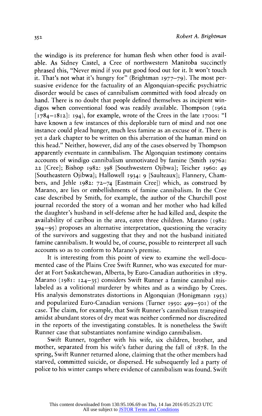**the windigo is its preference for human flesh when other food is available. As Sidney Castel, a Cree of northwestern Manitoba succinctly phrased this, "Never mind if you put good food out for it. It won't touch**  it. That's not what it's hungry for" (Brightman 1977–79). The most per**suasive evidence for the factuality of an Algonquian-specific psychiatric disorder would be cases of cannibalism committed with food already on hand. There is no doubt that people defined themselves as incipient windigos when conventional food was readily available. Thompson (1962 [I784-181]: I94), for example, wrote of the Crees in the late I70os: "I have known a few instances of this deplorable turn of mind and not one instance could plead hunger, much less famine as an excuse of it. There is yet a dark chapter to be written on this aberration of the human mind on this head." Neither, however, did any of the cases observed by Thompson apparently eventuate in cannibalism. The Algonquian testimony contains accounts of windigo cannibalism unmotivated by famine (Smith I976a: <sup>22</sup>[Cree]; Bishop 1982: 398 [Southwestern Ojibwa]; Teicher 1960: 49 [Southeastern Ojibwa]; Hallowell 1934: 9 [Saulteaux]; Flannery, Chambers, and Jehle I982: 72-74 [Eastmain Cree]) which, as construed by Marano, are lies or embellishments of famine cannibalism. In the Cree case described by Smith, for example, the author of the Churchill post journal recorded the story of a woman and her mother who had killed the daughter's husband in self-defense after he had killed and, despite the availability of caribou in the area, eaten three children. Marano (1982: 394-95) proposes an alternative interpretation, questioning the veracity of the survivors and suggesting that they and not the husband initiated famine cannibalism. It would be, of course, possible to reinterpret all such accounts so as to conform to Marano's premise.** 

**It is interesting from this point of view to examine the well-documented case of the Plains Cree Swift Runner, who was executed for murder at Fort Saskatchewan, Alberta, by Euro-Canadian authorities in 1879. Marano (1981: 124-35) considers Swift Runner a famine cannibal mislabeled as a volitional murderer by whites and as a windigo by Crees. His analysis demonstrates distortions in Algonquian (Honigmann 1953) and popularized Euro-Canadian versions (Turner I950: 499-501) of the case. The claim, for example, that Swift Runner's cannibalism transpired amidst abundant stores of dry meat was neither confirmed nor discredited in the reports of the investigating constables. It is nonetheless the Swift Runner case that substantiates nonfamine windigo cannibalism.** 

**Swift Runner, together with his wife, six children, brother, and mother, separated from his wife's father during the fall of 1878. In the spring, Swift Runner returned alone, claiming that the other members had starved, committed suicide, or dispersed. He subsequently led a party of police to his winter camps where evidence of cannibalism was found. Swift**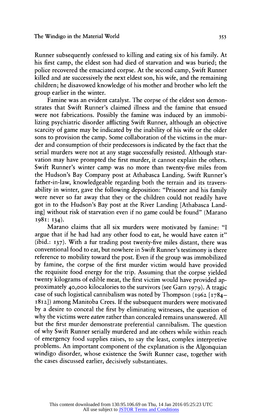**Runner subsequently confessed to killing and eating six of his family. At his first camp, the eldest son had died of starvation and was buried; the police recovered the emaciated corpse. At the second camp, Swift Runner killed and ate successively the next eldest son, his wife, and the remaining children; he disavowed knowledge of his mother and brother who left the group earlier in the winter.** 

**Famine was an evident catalyst. The corpse of the eldest son demonstrates that Swift Runner's claimed illness and the famine that ensued were not fabrications. Possibly the famine was induced by an immobilizing psychiatric disorder afflicting Swift Runner, although an objective scarcity of game may be indicated by the inability of his wife or the older sons to provision the camp. Some collaboration of the victims in the murder and consumption of their predecessors is indicated by the fact that the serial murders were not at any stage successfully resisted. Although starvation may have prompted the first murder, it cannot explain the others. Swift Runner's winter camp was no more than twenty-five miles from the Hudson's Bay Company post at Athabasca Landing. Swift Runner's father-in-law, knowledgeable regarding both the terrain and its traversability in winter, gave the following deposition: "Prisoner and his family were never so far away that they or the children could not readily have got in to the Hudson's Bay post at the River Landing [Athabasca Landing] without risk of starvation even if no game could be found" (Marano I98I: I34).** 

**Marano claims that all six murders were motivated by famine: "I argue that if he had had any other food to eat, he would have eaten it" (ibid.: I37). With a fur trading post twenty-five miles distant, there was conventional food to eat, but nowhere in Swift Runner's testimony is there reference to mobility toward the post. Even if the group was immobilized by famine, the corpse of the first murder victim would have provided the requisite food energy for the trip. Assuming that the corpse yielded twenty kilograms of edible meat, the first victim would have provided approximately 40,000 kilocalories to the survivors (see Garn 1979). A tragic case of such logistical cannibalism was noted by Thompson (I962 [I784 i8iz]) among Manitoba Crees. If the subsequent murders were motivated by a desire to conceal the first by eliminating witnesses, the question of why the victims were eaten rather than concealed remains unanswered. All but the first murder demonstrate preferential cannibalism. The question of why Swift Runner serially murdered and ate others while within reach of emergency food supplies raises, to say the least, complex interpretive problems. An important component of the explanation is the Algonquian windigo disorder, whose existence the Swift Runner case, together with the cases discussed earlier, decisively substantiates.**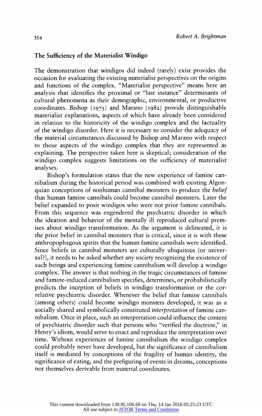## **The Sufficiency of the Materialist Windigo**

**The demonstration that windigos did indeed (rarely) exist provides the occasion for evaluating the existing materialist perspectives on the origins and functions of the complex. "Materialist perspective" means here an analysis that identifies the proximal or "last instance" determinants of cultural phenomena as their demographic, environmental, or productive coordinates. Bishop (I975) and Marano (I98z) provide distinguishable materialist explanations, aspects of which have already been considered in relation to the historicity of the windigo complex and the factuality of the windigo disorder. Here it is necessary to consider the adequacy of the material circumstances discussed by Bishop and Marano with respect to those aspects of the windigo complex that they are represented as explaining. The perspective taken here is skeptical; consideration of the windigo complex suggests limitations on the sufficiency of materialist analyses.** 

**Bishop's formulation states that the new experience of famine cannibalism during the historical period was combined with existing Algonquian conceptions of nonhuman cannibal monsters to produce the belief that human famine cannibals could become cannibal monsters. Later the belief expanded to posit windigos who were not prior famine cannibals. From this sequence was engendered the psychiatric disorder in which the ideation and behavior of the mentally ill reproduced cultural premises about windigo transformation. As the argument is delineated, it is the prior belief in cannibal monsters that is critical, since it is with these anthropophagous spirits that the human famine cannibals were identified. Since beliefs in cannibal monsters are culturally ubiquitous (or universal?), it needs to be asked whether any society recognizing the existence of such beings and experiencing famine cannibalism will develop a windigo complex. The answer is that nothing in the tragic circumstances of famine and famine-induced cannibalism specifies, determines, or probabilistically predicts the inception of beliefs in windigo transformation or the correlative psychiatric disorder. Whenever the belief that famine cannibals (among others) could become windigo monsters developed, it was as a socially shared and symbolically constituted interpretation of famine cannibalism. Once in place, such an interpretation could influence the content of psychiatric disorder such that persons who "verified the doctrine," in Henry's idiom, would serve to enact and reproduce the interpretation over time. Without experiences of famine cannibalism the windigo complex could probably never have developed, but the significance of cannibalism itself is mediated by conceptions of the fragility of human identity, the significance of eating, and the prefiguring of events in dreams, conceptions not themselves derivable from material coordinates.**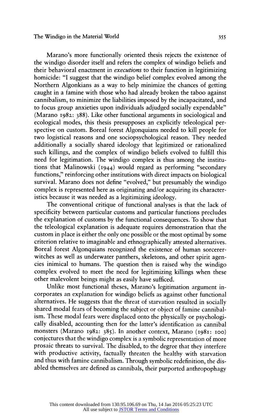**Marano's more functionally oriented thesis rejects the existence of the windigo disorder itself and refers the complex of windigo beliefs and their behavioral enactment in executions to their function in legitimizing homicide: "I suggest that the windigo belief complex evolved among the Northern Algonkians as a way to help minimize the chances of getting caught in a famine with those who had already broken the taboo against cannibalism, to minimize the liabilities imposed by the incapacitated, and to focus group anxieties upon individuals adjudged socially expendable" (Marano 1982: 388). Like other functional arguments in sociological and ecological modes, this thesis presupposes an explicitly teleological perspective on custom. Boreal forest Algonquians needed to kill people for two logistical reasons and one sociopsychological reason. They needed additionally a socially shared ideology that legitimized or rationalized such killings, and the complex of windigo beliefs evolved to fulfill this need for legitimation. The windigo complex is thus among the institutions that Malinowski (1944) would regard as performing "secondary functions," reinforcing other institutions with direct impacts on biological survival. Marano does not define "evolved," but presumably the windigo complex is represented here as originating and/or acquiring its characteristics because it was needed as a legitimizing ideology.** 

**The conventional critique of functional analyses is that the lack of specificity between particular customs and particular functions precludes the explanation of customs by the functional consequences. To show that the teleological explanation is adequate requires demonstration that the custom in place is either the only one possible or the most optimal by some criterion relative to imaginable and ethnographically attested alternatives. Boreal forest Algonquians recognized the existence of human sorcererwitches as well as underwater panthers, skeletons, and other spirit agencies inimical to humans. The question then is raised why the windigo complex evolved to meet the need for legitimizing killings when these other malevolent beings might as easily have sufficed.** 

**Unlike most functional theses, Marano's legitimation argument incorporates an explanation for windigo beliefs as against other functional alternatives. He suggests that the threat of starvation resulted in socially shared modal fears of becoming the subject or object of famine cannibalism. These modal fears were displaced onto the physically or psychologically disabled, accounting then for the latter's identification as cannibal monsters (Marano 1982: 385). In another context, Marano (1981: ioo) conjectures that the windigo complex is a symbolic representation of more prosaic threats to survival. The disabled, to the degree that they interfere with productive activity, factually threaten the healthy with starvation and thus with famine cannibalism. Through symbolic redefinition, the disabled themselves are defined as cannibals, their purported anthropophagy**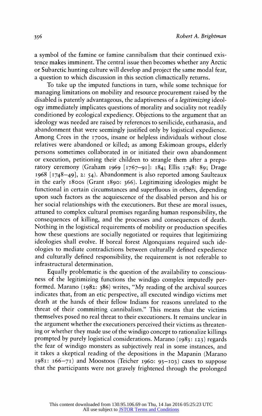**a symbol of the famine or famine cannibalism that their continued existence makes imminent. The central issue then becomes whether any Arctic or Subarctic hunting culture will develop and project the same modal fear, a question to which discussion in this section climactically returns.** 

**To take up the imputed functions in turn, while some technique for managing limitations on mobility and resource procurement raised by the disabled is patently advantageous, the adaptiveness of a legitimizing ideology immediately implicates questions of morality and sociality not readily conditioned by ecological expediency. Objections to the argument that an ideology was needed are raised by references to senilicide, euthanasia, and abandonment that were seemingly justified only by logistical expedience.**  Among Crees in the 1700s, insane or helpless individuals without close **relatives were abandoned or killed; as among Eskimoan groups, elderly persons sometimes collaborated in or initiated their own abandonment or execution, petitioning their children to strangle them after a preparatory ceremony (Graham 1969 [1767-9I]: 184; Ellis 1748: 89; Drage I968 [I748-49], z: 54). Abandonment is also reported among Saulteaux in the early i8oos (Grant I890: 366). Legitimizing ideologies might be functional in certain circumstances and superfluous in others, depending upon such factors as the acquiescence of the disabled person and his or her social relationships with the executioners. But these are moral issues, attuned to complex cultural premises regarding human responsibility, the consequences of killing, and the processes and consequences of death. Nothing in the logistical requirements of mobility or production specifies how these questions are socially negotiated or requires that legitimizing ideologies shall evolve. If boreal forest Algonquians required such ideologies to mediate contradictions between culturally defined expedience and culturally defined responsibility, the requirement is not referable to infrastructural determination.** 

**Equally problematic is the question of the availability to consciousness of the legitimizing functions the windigo complex imputedly performed. Marano (I982: 386) writes, "My reading of the archival sources indicates that, from an etic perspective, all executed windigo victims met death at the hands of their fellow Indians for reasons unrelated to the threat of their committing cannibalism." This means that the victims themselves posed no real threat to their executioners. It remains unclear in the argument whether the executioners perceived their victims as threatening or whether they made use of the windigo concept to rationalize killings prompted by purely logistical considerations. Marano (I983: 123) regards the fear of windigo monsters as subjectively real in some instances, and it takes a skeptical reading of the depositions in the Mapanin (Marano I98I: I66-7I) and Moostoos (Teicher I960: 93-103) cases to suppose that the participants were not gravely frightened through the prolonged**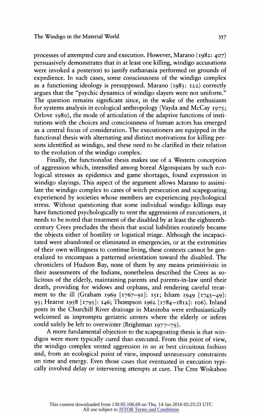**processes of attempted cure and execution. However, Marano (1982: 407) persuasively demonstrates that in at least one killing, windigo accusations were invoked a posteriori to justify euthanasia performed on grounds of expedience. In such cases, some consciousness of the windigo complex as a functioning ideology is presupposed. Marano (1983: IZz) correctly argues that the "psychic dynamics of windigo slayers were not uniform." The question remains significant since, in the wake of the enthusiasm for systems analysis in ecological anthropology (Vayda and McCay I975; Orlove 1980), the mode of articulation of the adaptive functions of institutions with the choices and consciousness of human actors has emerged as a central focus of consideration. The executioners are equipped in the functional thesis with alternating and distinct motivations for killing persons identified as windigo, and these need to be clarified in their relation to the evolution of the windigo complex.** 

**Finally, the functionalist thesis makes use of a Western conception of aggression which, intensified among boreal Algonquians by such ecological stresses as epidemics and game shortages, found expression in windigo slayings. This aspect of the argument allows Marano to assimilate the windigo complex to cases of witch persecution and scapegoating experienced by societies whose members are experiencing psychological stress. Without questioning that some individual windigo killings may have functioned psychologically to vent the aggressions of executioners, it needs to be noted that treatment of the disabled by at least the eighteenthcentury Crees precludes the thesis that social liabilities routinely became the objects either of hostility or logistical triage. Although the incapacitated were abandoned or eliminated in emergencies, or at the extremities of their own willingness to continue living, these contexts cannot be generalized to encompass a patterned orientation toward the disabled. The chroniclers of Hudson Bay, none of them by any means primitivistic in their assessments of the Indians, nonetheless described the Crees as solicitous of the elderly, maintaining parents and parents-in-law until their death, providing for widows and orphans, and rendering careful treatment to the ill (Graham 1969 [1767-91]: 151; Isham 1949 [1743-49]: 93; Hearne 1958 [1795]: 146; Thompson 1962 [I784-I812]: io6). Inland posts in the Churchill River drainage in Manitoba were enthusiastically welcomed as impromptu geriatric centers where the elderly or infirm could safely be left to overwinter (Brightman 1977-79).** 

**A more fundamental objection to the scapegoating thesis is that windigos were more typically cured than executed. From this point of view, the windigo complex vented aggression in an at best circuitous fashion and, from an ecological point of view, imposed unnecessary constraints on time and energy. Even those cases that eventuated in execution typically involved delay or intervening attempts at cure. The Cree Wiskahoo**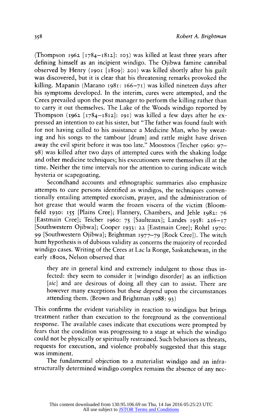**(Thompson I962 [1784-18I2]: 103) was killed at least three years after defining himself as an incipient windigo. The Ojibwa famine cannibal observed by Henry (I9o0 [I809]: zoI) was killed shortly after his guilt was discovered, but it is clear that his threatening remarks provoked the killing. Mapanin (Marano 1981: 166-71) was killed nineteen days after his symptoms developed. In the interim, cures were attempted, and the Crees prevailed upon the post manager to perform the killing rather than to carry it out themselves. The Lake of the Woods windigo reported by Thompson (1962 [I784-I8I2]: I9I) was killed a few days after he expressed an intention to eat his sister, but "The father was found fault with for not having called to his assistance a Medicine Man, who by sweating and his songs to the tambour [drum] and rattle might have driven away the evil spirit before it was too late." Moostoos (Teicher I960: 97- 98) was killed after two days of attempted cures with the shaking lodge and other medicine techniques; his executioners were themselves ill at the time. Neither the time intervals nor the attention to curing indicate witch hysteria or scapegoating.** 

**Secondhand accounts and ethnographic summaries also emphasize attempts to cure persons identified as windigos, the techniques conventionally entailing attempted exorcism, prayer, and the administration of hot grease that would warm the frozen viscera of the victim (Bloomfield I930: I55 [Plains Cree]; Flannery, Chambers, and Jehle 1982: 76 [Eastmain Cree]; Teicher 1960: 75 [Saulteaux]; Landes 1938: 216-17 [Southwestern Ojibwa]; Cooper 1933: 22 [Eastmain Cree]; Rohrl 1970: 99 [Southwestern Ojibwa]; Brightman I977-79 [Rock Cree]). The witch hunt hypothesis is of dubious validity as concerns the majority of recorded windigo cases. Writing of the Crees at Lac la Ronge, Saskatchewan, in the early i8oos, Nelson observed that** 

**they are in general kind and extremely indulgent to those thus infected: they seem to consider it [windigo disorder] as an infliction [sic] and are desirous of doing all they can to assist. There are however many exceptions but these depend upon the circumstances attending them. (Brown and Brightman 1988: 93)** 

**This confirms the evident variability in reaction to windigos but brings treatment rather than execution to the foreground as the conventional response. The available cases indicate that executions were prompted by fears that the condition was progressing to a stage at which the windigo could not be physically or spiritually restrained. Such behaviors as threats, requests for execution, and violence probably suggested that this stage was imminent.** 

**The fundamental objection to a materialist windigo and an infrastructurally determined windigo complex remains the absence of any nec-**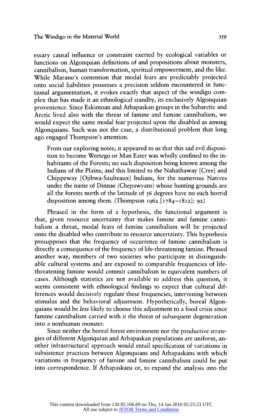**essary causal influence or constraint exerted by ecological variables or functions on Algonquian definitions of and propositions about monsters, cannibalism, human transformation, spiritual empowerment, and the like. While Marano's contention that modal fears are predictably projected onto social liabilities possesses a precision seldom encountered in functional argumentation, it evokes exactly that aspect of the windigo complex that has made it an ethnological standby, its exclusively Algonquian provenience. Since Eskimoan and Athapaskan groups in the Subarctic and Arctic lived also with the threat of famine and famine cannibalism, we would expect the same modal fear projected upon the disabled as among Algonquians. Such was not the case, a distributional problem that long ago engaged Thompson's attention.** 

**From our exploring notes; it appeared to us that this sad evil disposition to become Weetego or Man Eater was wholly confined to the inhabitants of the Forests; no such disposition being known among the Indians of the Plains; and this limited to the Nahathaway [Cree] and Chippeway [Ojibwa-Saulteaux] Indians, for the numerous Natives under the name of Dinnae (Chepawyans) whose hunting grounds are all the forests north of the latitude of 56 degrees have no such horrid**  disposition among them. (Thompson  $1962$   $[1784-1812]$ :  $92)$ 

**Phrased in the form of a hypothesis, the functional argument is that, given resource uncertainty that makes famine and famine cannibalism a threat, modal fears of famine cannibalism will be projected onto the disabled who contribute to resource uncertainty. This hypothesis presupposes that the frequency of occurrence of famine cannibalism is directly a consequence of the frequency of life-threatening famine. Phrased another way, members of two societies who participate in distinguishable cultural systems and are exposed to comparable frequencies of lifethreatening famine would commit cannibalism in equivalent numbers of cases. Although statistics are not available to address this question, it seems consistent with ethnological findings to expect that cultural differences would decisively regulate these frequencies, intervening between stimulus and the behavioral adjustment. Hypothetically, boreal Algonquians would be less likely to choose this adjustment to a food crisis since famine cannibalism carried with it the threat of subsequent degeneration into a nonhuman monster.** 

**Since neither the boreal forest environment nor the productive strategies of different Algonquian and Athapaskan populations are uniform, another infrastructural approach would entail specification of variations in subsistence practices between Algonquians and Athapaskans with which variations in frequency of famine and famine cannibalism could be put into correspondence. If Athapaskans or, to expand the analysis into the**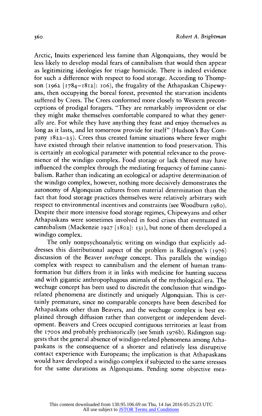**Arctic, Inuits experienced less famine than Algonquians, they would be less likely to develop modal fears of cannibalism that would then appear as legitimizing ideologies for triage homicide. There is indeed evidence for such a difference with respect to food storage. According to Thompson (I962 [1784-1812]: I06), the frugality of the Athapaskan Chipewyans, then occupying the boreal forest, prevented the starvation incidents suffered by Crees. The Crees conformed more closely to Western preconceptions of prodigal foragers. "They are remarkably improvident or else they might make themselves comfortable compared to what they generally are. For while they have anything they feast and enjoy themselves as long as it lasts, and let tomorrow provide for itself" (Hudson's Bay Company 1822-23). Crees thus created famine situations where fewer might have existed through their relative inattention to food preservation. This is certainly an ecological parameter with potential relevance to the provenience of the windigo complex. Food storage or lack thereof may have influenced the complex through the mediating frequency of famine cannibalism. Rather than indicating an ecological or adaptive determination of the windigo complex, however, nothing more decisively demonstrates the autonomy of Algonquian cultures from material determination than the fact that food storage practices themselves were relatively arbitrary with respect to environmental incentives and constraints (see Woodburn I980). Despite their more intensive food storage regimes, Chipewyans and other Athapaskans were sometimes involved in food crises that eventuated in cannibalism (Mackenzie 1927 [i80z]: 131), but none of them developed a windigo complex.** 

**The only nonpsychoanalytic writing on windigo that explicitly addresses this distributional aspect of the problem is Ridington's (1976) discussion of the Beaver wechuge concept. This parallels the windigo complex with respect to cannibalism and the element of human transformation but differs from it in links with medicine for hunting success and with gigantic anthropophagous animals of the mythological era. The wechuge concept has been used to discredit the conclusion that windigorelated phenomena are distinctly and uniquely Algonquian. This is certainly premature, since no comparable concepts have been described for Athapaskans other than Beavers, and the wechuge complex is best explained through diffusion rather than convergent or independent development. Beavers and Crees occupied contiguous territories at least from the I70os and probably prehistorically (see Smith i976b). Ridington suggests that the general absence of windigo-related phenomena among Athapaskans is the consequence of a shorter and relatively less disruptive contact experience with Europeans; the implication is that Athapaskans would have developed a windigo complex if subjected to the same stresses for the same durations as Algonquians. Pending some objective mea-**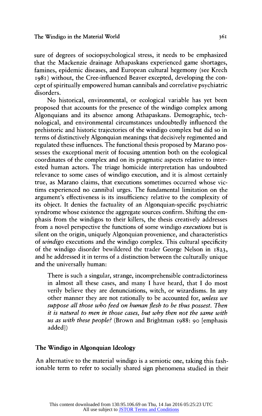**sure of degrees of sociopsychological stress, it needs to be emphasized that the Mackenzie drainage Athapaskans experienced game shortages, famines, epidemic diseases, and European cultural hegemony (see Krech I98I) without, the Cree-influenced Beaver excepted, developing the concept of spiritually empowered human cannibals and correlative psychiatric disorders.** 

**No historical, environmental, or ecological variable has yet been proposed that accounts for the presence of the windigo complex among Algonquians and its absence among Athapaskans. Demographic, technological, and environmental circumstances undoubtedly influenced the prehistoric and historic trajectories of the windigo complex but did so in terms of distinctively Algonquian meanings that decisively regimented and regulated these influences. The functional thesis proposed by Marano possesses the exceptional merit of focusing attention both on the ecological coordinates of the complex and on its pragmatic aspects relative to interested human actors. The triage homicide interpretation has undoubted relevance to some cases of windigo execution, and it is almost certainly true, as Marano claims, that executions sometimes occurred whose victims experienced no cannibal urges. The fundamental limitation on the argument's effectiveness is its insufficiency relative to the complexity of its object. It denies the factuality of an Algonquian-specific psychiatric syndrome whose existence the aggregate sources confirm. Shifting the emphasis from the windigos to their killers, the thesis creatively addresses from a novel perspective the functions of some windigo executions but is silent on the origin, uniquely Algonquian provenience, and characteristics of windigo executions and the windigo complex. This cultural specificity of the windigo disorder bewildered the trader George Nelson in 1823, and he addressed it in terms of a distinction between the culturally unique and the universally human:** 

**There is such a singular, strange, incomprehensible contradictoriness in almost all these cases, and many I have heard, that I do most verily believe they are denunciations, witch, or wizardisms. In any other manner they are not rationally to be accounted for, unless we suppose all those who feed on human flesh to be thus possest. Then it is natural to men in those cases, but why then not the same with us as with these people? (Brown and Brightman I988: 90 [emphasis added])** 

#### **The Windigo in Algonquian Ideology**

**An alternative to the material windigo is a semiotic one, taking this fashionable term to refer to socially shared sign phenomena studied in their**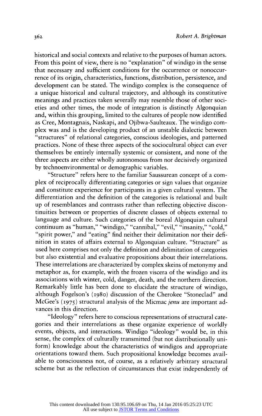**historical and social contexts and relative to the purposes of human actors. From this point of view, there is no "explanation" of windigo in the sense that necessary and sufficient conditions for the occurrence or nonoccurrence of its origin, characteristics, functions, distribution, persistence, and development can be stated. The windigo complex is the consequence of a unique historical and cultural trajectory, and although its constitutive meanings and practices taken severally may resemble those of other societies and other times, the mode of integration is distinctly Algonquian and, within this grouping, limited to the cultures of people now identified as Cree, Montagnais, Naskapi, and Ojibwa-Saulteaux. The windigo complex was and is the developing product of an unstable dialectic between "structures" of relational categories, conscious ideologies, and patterned practices. None of these three aspects of the sociocultural object can ever themselves be entirely internally systemic or consistent, and none of the three aspects are either wholly autonomous from nor decisively organized by technoenvironmental or demographic variables.** 

**"Structure" refers here to the familiar Saussurean concept of a complex of reciprocally differentiating categories or sign values that organize and constitute experience for participants in a given cultural system. The differentiation and the definition of the categories is relational and built up of resemblances and contrasts rather than reflecting objective discontinuities between or properties of discrete classes of objects external to language and culture. Such categories of the boreal Algonquian cultural continuum as "human," "windigo," "cannibal," "evil," "insanity," "cold," "spirit power," and "eating" find neither their delimitation nor their definition in states of affairs external to Algonquian culture. "Structure" as used here comprises not only the definition and delimitation of categories but also existential and evaluative propositions about their interrelations. These interrelations are characterized by complex skeins of metonymy and metaphor as, for example, with the frozen viscera of the windigo and its associations with winter, cold, danger, death, and the northern direction. Remarkably little has been done to elucidate the structure of windigo, although Fogelson's (I980) discussion of the Cherokee "Stoneclad" and McGee's (1975) structural analysis of the Micmac jenu are important advances in this direction.** 

**"Ideology" refers here to conscious representations of structural categories and their interrelations as these organize experience of worldly events, objects, and interactions. Windigo "ideology" would be, in this sense, the complex of culturally transmitted (but not distributionally uniform) knowledge about the characteristics of windigos and appropriate orientations toward them. Such propositional knowledge becomes available to consciousness not, of course, as a relatively arbitrary structural scheme but as the reflection of circumstances that exist independently of**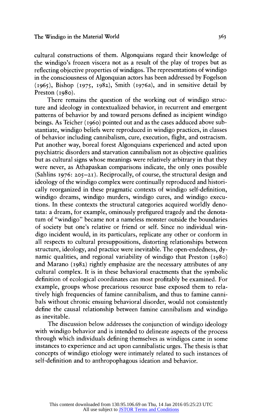**cultural constructions of them. Algonquians regard their knowledge of the windigo's frozen viscera not as a result of the play of tropes but as reflecting objective properties of windigos. The representations of windigo in the consciousness of Algonquian actors has been addressed by Fogelson (1965), Bishop (1975, 1982), Smith (I976a), and in sensitive detail by Preston (i980).** 

**There remains the question of the working out of windigo structure and ideology in contextualized behavior, in recurrent and emergent patterns of behavior by and toward persons defined as incipient windigo beings. As Teicher (1960) pointed out and as the cases adduced above substantiate, windigo beliefs were reproduced in windigo practices, in classes of behavior including cannibalism, cure, execution, flight, and ostracism. Put another way, boreal forest Algonquians experienced and acted upon psychiatric disorders and starvation cannibalism not as objective qualities but as cultural signs whose meanings were relatively arbitrary in that they were never, as Athapaskan comparisons indicate, the only ones possible (Sahlins 1976: z05-zI). Reciprocally, of course, the structural design and ideology of the windigo complex were continually reproduced and historically reorganized in these pragmatic contexts of windigo self-definition, windigo dreams, windigo murders, windigo cures, and windigo executions. In these contexts the structural categories acquired worldly denotata: a dream, for example, ominously prefigured tragedy and the denotatum of "windigo" became not a nameless monster outside the boundaries of society but one's relative or friend or self. Since no individual windigo incident would, in its particulars, replicate any other or conform in all respects to cultural presuppositions, distorting relationships between structure, ideology, and practice were inevitable. The open-endedness, dynamic qualities, and regional variability of windigo that Preston (1980) and Marano (1982) rightly emphasize are the necessary attributes of any cultural complex. It is in these behavioral enactments that the symbolic definition of ecological coordinates can most profitably be examined. For example, groups whose precarious resource base exposed them to relatively high frequencies of famine cannibalism, and thus to famine cannibals without chronic ensuing behavioral disorder, would not consistently define the causal relationship between famine cannibalism and windigo as inevitable.** 

**The discussion below addresses the conjunction of windigo ideology with windigo behavior and is intended to delineate aspects of the process through which individuals defining themselves as windigos came in some instances to experience and act upon cannibalistic urges. The thesis is that concepts of windigo etiology were intimately related to such instances of self-definition and to anthropophagous ideation and behavior.**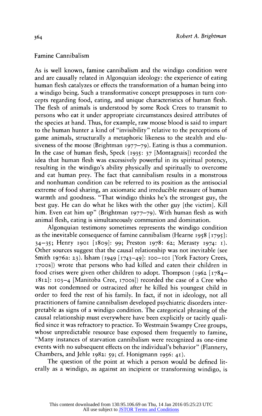#### **Famine Cannibalism**

**As is well known, famine cannibalism and the windigo condition were and are causally related in Algonquian ideology: the experience of eating human flesh catalyzes or effects the transformation of a human being into a windigo being. Such a transformative concept presupposes in turn concepts regarding food, eating, and unique characteristics of human flesh. The flesh of animals is understood by some Rock Crees to transmit to persons who eat it under appropriate circumstances desired attributes of the species at hand. Thus, for example, raw moose blood is said to impart to the human hunter a kind of "invisibility" relative to the perceptions of game animals, structurally a metaphoric likeness to the stealth and elu**siveness of the moose (Brightman 1977–79). Eating is thus a communion. **In the case of human flesh, Speck (1935: 37 [Montagnais]) recorded the idea that human flesh was excessively powerful in its spiritual potency, resulting in the windigo's ability physically and spiritually to overcome and eat human prey. The fact that cannibalism results in a monstrous and nonhuman condition can be referred to its position as the antisocial extreme of food sharing, an axiomatic and irreducible measure of human warmth and goodness. "That windigo thinks he's the strongest guy, the best guy. He can do what he likes with the other guy [the victim]. Kill him. Even eat him up" (Brightman I977-79). With human flesh as with animal flesh, eating is simultaneously communion and domination.** 

**Algonquian testimony sometimes represents the windigo condition as the inevitable consequence of famine cannibalism (Hearne 1958 [1795]: 34-35; Henry I9OI [I809]: 99; Preston I978: 62; Merasty 1974: i). Other sources suggest that the causal relationship was not inevitable (see Smith i976a: 23). Isham (I949 [1743-49]: Ioo-ioi [York Factory Crees, I70os]) wrote that persons who had killed and eaten their children in food crises were given other children to adopt. Thompson (i962 [I784- 181z]: I03-4 [Manitoba Cree, I70os]) recorded the case of a Cree who was not condemned or ostracized after he killed his youngest child in order to feed the rest of his family. In fact, if not in ideology, not all practitioners of famine cannibalism developed psychiatric disorders interpretable as signs of a windigo condition. The categorical phrasing of the causal relationship must everywhere have been explicitly or tacitly qualified since it was refractory to practice. To Westmain Swampy Cree groups, whose unpredictable resource base exposed them frequently to famine, "Many instances of starvation cannibalism were recognized as one-time events with no subsequent effects on the individual's behavior" (Flannery, Chambers, and Jehle 1982: 59; cf. Honigmann 1956: 4I).** 

**The question of the point at which a person would be defined literally as a windigo, as against an incipient or transforming windigo, is**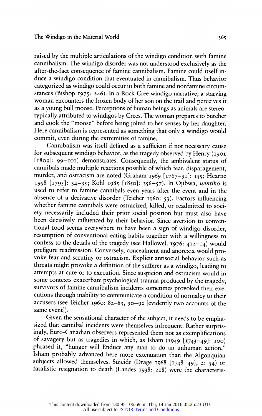**raised by the multiple articulations of the windigo condition with famine cannibalism. The windigo disorder was not understood exclusively as the after-the-fact consequence of famine cannibalism. Famine could itself induce a windigo condition that eventuated in cannibalism. Thus behavior categorized as windigo could occur in both famine and nonfamine circumstances (Bishop 1975: 246). In a Rock Cree windigo narrative, a starving woman encounters the frozen body of her son on the trail and perceives it as a young bull moose. Perceptions of human beings as animals are stereotypically attributed to windigos by Crees. Thewoman prepares to butcher and cook the "moose" before being jolted to her senses by her daughter. Here cannibalism is represented as something that only a windigo would commit, even during the extremities of famine.** 

**Cannibalism was itself defined as a sufficient if not necessary cause for subsequent windigo behavior, as the tragedy observed by Henry (190o [I809]: 99-Ioi) demonstrates. Consequently, the ambivalent status of cannibals made multiple reactions possible of which fear, disparagement, murder, and ostracism are noted (Graham 1969 [I767-9I]: I55; Hearne 1958 [I795]: 34-35; Kohl 1985 [I850]: 356-57). In Ojibwa, wintiko is used to refer to famine cannibals even years after the event and in the absence of a derivative disorder (Teicher 1960: 53). Factors influencing whether famine cannibals were ostracized, killed, or readmitted to society necessarily included their prior social position but must also have been decisively influenced by their behavior. Since aversion to conventional food seems everywhere to have been a sign of windigo disorder, resumption of conventional eating habits together with a willingness to confess to the details of the tragedy (see Hallowell 1976: 412-I4) would prefigure readmission. Conversely, concealment and anorexia would provoke fear and scrutiny or ostracism. Explicit antisocial behavior such as threats might provoke a definition of the sufferer as a windigo, leading to attempts at cure or to execution. Since suspicion and ostracism would in some contexts exacerbate psychological trauma produced by the tragedy, survivors of famine cannibalism incidents sometimes provoked their executions through inability to communicate a condition of normalcy to their accusers (see Teicher 1960: 82-83, 90-9z [evidently two accounts of the**  same event]).<br>Given the sensational character of the subject, it needs to be empha-

sized that cannibal incidents were themselves infrequent. Rather surpris**ingly, Euro-Canadian observers represented them not as exemplifications of savagery but as tragedies in which, as Isham (I949 [I743-49]: Ioo) phrased it, "hunger will Enduce any man to do an unhuman action." Isham probably advanced here more extenuation than the Algonquian subjects allowed themselves. Suicide (Drage I968 [I748-49], 2: 54) or fatalistic resignation to death (Landes 1938: 218) were the characteris-**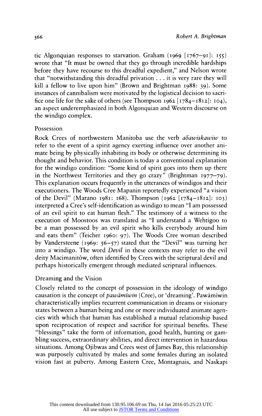**tic Algonquian responses to starvation. Graham (1969 [1767-91]: I55) wrote that "It must be owned that they go through incredible hardships before they have recourse to this dreadful expedient," and Nelson wrote that "notwithstanding this dreadful privation ... it is very rare they will kill a fellow to live upon him" (Brown and Brightman 1988: 39). Some instances of cannibalism were motivated by the logistical decision to sacrifice one life for the sake of others (see Thompson 1962 [I784-I812]: I04), an aspect underemphasized in both Algonquian and Western discourse on the windigo complex.** 

## **Possession**

Rock Crees of northwestern Manitoba use the verb *a<sub>dawiskawiw* to</sub> **refer to the event of a spirit agency exerting influence over another animate being by physically inhabiting its body or otherwise determining its thought and behavior. This condition is today a conventional explanation for the windigo condition: "Some kind of spirit goes into them up there in the Northwest Territories and they go crazy" (Brightman I977-79). This explanation occurs frequently in the utterances of windigos and their executioners. The Woods Cree Mapanin reportedly experienced "a vision of the Devil" (Marano 1981: I68). Thompson (1962 [I784-I8I2]: I03) interpreted a Cree's self-identification as windigo to mean "I am possessed of an evil spirit to eat human flesh." The testimony of a witness to the execution of Moostoos was translated as "I understand a Wehtigoo to be a man possessed by an evil spirit who kills everybody around him and eats them" (Teicher 1960: 97). The Woods Cree woman described by Vandersteene (1969: 56-57) stated that the "Devil" was turning her into a windigo. The word Devil in these contexts may refer to the evil deity Macimanitow, often identified by Crees with the scriptural devil and perhaps historically emergent through mediated scriptural influences.** 

## **Dreaming and the Vision**

**Closely related to the concept of possession in the ideology of windigo causation is the concept of pawamiwin (Cree), or 'dreaming'. Pawamiwin characteristically implies recurrent communication in dreams or visionary states between a human being and one or more individuated animate agencies with which that human has established a mutual relationship based upon reciprocation of respect and sacrifice for spiritual benefits. These "blessings" take the form of information, good health, hunting or gambling success, extraordinary abilities, and direct intervention in hazardous situations. Among Ojibwas and Crees west of James Bay, this relationship was purposely cultivated by males and some females during an isolated vision fast at puberty. Among Eastern Cree, Montagnais, and Naskapi**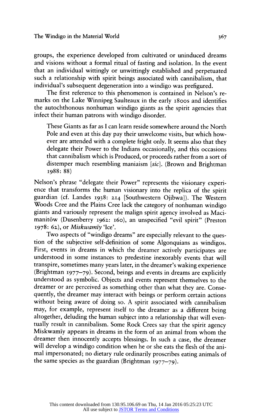**groups, the experience developed from cultivated or uninduced dreams and visions without a formal ritual of fasting and isolation. In the event that an individual wittingly or unwittingly established and perpetuated such a relationship with spirit beings associated with cannibalism, that individual's subsequent degeneration into a windigo was prefigured.** 

**The first reference to this phenomenon is contained in Nelson's remarks on the Lake Winnipeg Saulteaux in the early i8oos and identifies the autochthonous nonhuman windigo giants as the spirit agencies that infect their human patrons with windigo disorder.** 

**These Giants as far as I can learn reside somewhere around the North Pole and even at this day pay their unwelcome visits, but which however are attended with a complete fright only. It seems also that they delegate their Power to the Indians occasionally, and this occasions that cannibalism which is Produced, or proceeds rather from a sort of distemper much resembling maniaism [sic]. (Brown and Brightman I988: 88)** 

**Nelson's phrase "delegate their Power" represents the visionary experience that transforms the human visionary into the replica of the spirit guardian (cf. Landes 1938: 214 [Southwestern Ojibwa]). The Western Woods Cree and the Plains Cree lack the category of nonhuman windigo giants and variously represent the malign spirit agency involved as Macimanitow (Dusenberry 1962: i60), an unspecified "evil spirit" (Preston 1978: 6z), or Miskwamiy 'Ice'.** 

**Two aspects of "windigo dreams" are especially relevant to the question of the subjective self-definition of some Algonquians as windigos. First, events in dreams in which the dreamer actively participates are understood in some instances to predestine inexorably events that will transpire, sometimes many years later, in the dreamer's waking experience (Brightman I977-79). Second, beings and events in dreams are explicitly understood as symbolic. Objects and events represent themselves to the dreamer or are perceived as something other than what they are. Consequently, the dreamer may interact with beings or perform certain actions without being aware of doing so. A spirit associated with cannibalism may, for example, represent itself to the dreamer as a different being altogether, deluding the human subject into a relationship that will eventually result in cannibalism. Some Rock Crees say that the spirit agency Miskwamly appears in dreams in the form of an animal from whom the dreamer then innocently accepts blessings. In such a case, the dreamer will develop a windigo condition when he or she eats the flesh of the animal impersonated; no dietary rule ordinarily proscribes eating animals of the same species as the guardian (Brightman I977-79).**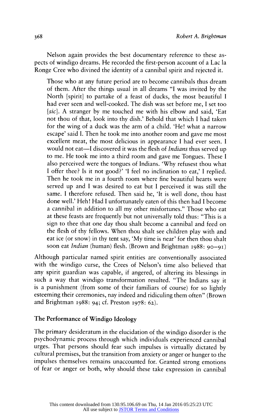**Nelson again provides the best documentary reference to these aspects of windigo dreams. He recorded the first-person account of a Lac la Ronge Cree who divined the identity of a cannibal spirit and rejected it.** 

**Those who at any future period are to become cannibals thus dream of them. After the things usual in all dreams "I was invited by the North [spirit] to partake of a feast of ducks, the most beautiful I had ever seen and well-cooked. The dish was set before me, I set too [sic]. A stranger by me touched me with his elbow and said, 'Eat not thou of that, look into thy dish.' Behold that which I had taken for the wing of a duck was the arm of a child. 'He! what a narrow escape' said I. Then he took me into another room and gave me most excellent meat, the most delicious in appearance I had ever seen. I would not eat-I discovered it was the flesh of Indians thus served up to me. He took me into a third room and gave me Tongues. These I also perceived were the tongues of Indians. 'Why refusest thou what I offer thee? Is it not good?' 'I feel no inclination to eat,' I replied. Then he took me in a fourth room where fine beautiful hearts were served up and I was desired to eat but I perceived it was still the same. I therefore refused. Then said he, 'It is well done, thou hast done well.' Heh! Had I unfortunately eaten of this then had I become a cannibal in addition to all my other misfortunes." Those who eat at these feasts are frequently but not universally told thus: "This is a sign to thee that one day thou shalt become a cannibal and feed on the flesh of thy fellows. When thou shalt see children play with and eat ice (or snow) in thy tent say, 'My time is near' for then thou shalt soon eat Indian (human) flesh. (Brown and Brightman I988: 90-9I)** 

**Although particular named spirit entities are conventionally associated with the windigo curse, the Crees of Nelson's time also believed that any spirit guardian was capable, if angered, of altering its blessings in such a way that windigo transformation resulted. "The Indians say it is a punishment (from some of their familiars of course) for so lightly esteeming their ceremonies, nay indeed and ridiculing them often" (Brown and Brightman I988: 94; cf. Preston I978: 6z).** 

## **The Performance of Windigo Ideology**

**The primary desideratum in the elucidation of the windigo disorder is the psychodynamic process through which individuals experienced cannibal urges. That persons should fear such impulses is virtually dictated by cultural premises, but the transition from anxiety or anger or hunger to the impulses themselves remains unaccounted for. Granted strong emotions of fear or anger or both, why should these take expression in cannibal**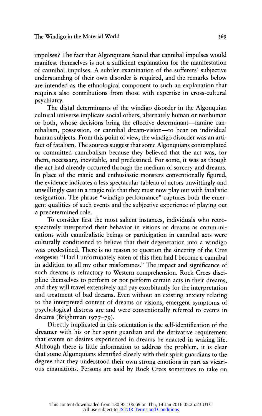**impulses? The fact that Algonquians feared that cannibal impulses would manifest themselves is not a sufficient explanation for the manifestation of cannibal impulses. A subtler examination of the sufferers' subjective understanding of their own disorder is required, and the remarks below are intended as the ethnological component to such an explanation that requires also contributions from those with expertise in cross-cultural psychiatry.** 

**The distal determinants of the windigo disorder in the Algonquian cultural universe implicate social others, alternately human or nonhuman**  or both, whose decisions bring the effective determinant—famine can**nibalism, possession, or cannibal dream-vision-to bear on individual human subjects. From this point of view, the windigo disorder was an artifact of fatalism. The sources suggest that some Algonquians contemplated or committed cannibalism because they believed that the act was, for them, necessary, inevitable, and predestined. For some, it was as though the act had already occurred through the medium of sorcery and dreams. In place of the manic and enthusiastic monsters conventionally figured, the evidence indicates a less spectacular tableau of actors unwittingly and unwillingly cast in a tragic role that they must now play out with fatalistic resignation. The phrase "windigo performance" captures both the emergent qualities of such events and the subjective experience of playing out a predetermined role.** 

**To consider first the most salient instances, individuals who retrospectively interpreted their behavior in visions or dreams as communications with cannibalistic beings or participation in cannibal acts were culturally conditioned to believe that their degeneration into a windigo was predestined. There is no reason to question the sincerity of the Cree exegesis: "Had I unfortunately eaten of this then had I become a cannibal in addition to all my other misfortunes." The impact and significance of such dreams is refractory to Western comprehension. Rock Crees discipline themselves to perform or not perform certain acts in their dreams, and they will travel extensively and pay exorbitantly for the interpretation and treatment of bad dreams. Even without an existing anxiety relating to the interpreted content of dreams or visions, emergent symptoms of psychological distress are and were conventionally referred to events in dreams (Brightman I977-79).** 

**Directly implicated in this orientation is the self-identification of the dreamer with his or her spirit guardian and the derivative requirement that events or desires experienced in dreams be enacted in waking life. Although there is little information to address the problem, it is clear that some Algonquians identified closely with their spirit guardians to the degree that they understood their own strong emotions in part as vicarious emanations. Persons are said by Rock Crees sometimes to take on**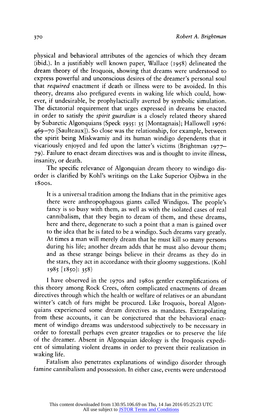**physical and behavioral attributes of the agencies of which they dream (ibid.). In a justifiably well known paper, Wallace (1958) delineated the dream theory of the Iroquois, showing that dreams were understood to express powerful and unconscious desires of the dreamer's personal soul that required enactment if death or illness were to be avoided. In this theory, dreams also prefigured events in waking life which could, however, if undesirable, be prophylactically averted by symbolic simulation. The dictatorial requirement that urges expressed in dreams be enacted in order to satisfy the spirit guardian is a closely related theory shared by Subarctic Algonquians (Speck 1935: 35 [Montagnais]; Hallowell 1976: 469-70 [Saulteaux]). So close was the relationship, for example, between the spirit being Miskwamiy and its human windigo dependents that it vicariously enjoyed and fed upon the latter's victims (Brightman I977- 79). Failure to enact dream directives was and is thought to invite illness, insanity, or death.** 

**The specific relevance of Algonquian dream theory to windigo disorder is clarified by Kohl's writings on the Lake Superior Ojibwa in the i8oos.** 

**It is a universal tradition among the Indians that in the primitive ages there were anthropophagous giants called Windigos. The people's fancy is so busy with them, as well as with the isolated cases of real cannibalism, that they begin to dream of them, and these dreams, here and there, degenerate to such a point that a man is gained over to the idea that he is fated to be a windigo. Such dreams vary greatly. At times a man will merely dream that he must kill so many persons during his life; another dream adds that he must also devour them; and as these strange beings believe in their dreams as they do in the stars, they act in accordance with their gloomy suggestions. (Kohl I985 [1850]: 358)** 

**I have observed in the 1970S and I98os gentler exemplifications of this theory among Rock Crees, often complicated enactments of dream directives through which the health or welfare of relatives or an abundant winter's catch of furs might be procured. Like Iroquois, boreal Algonquians experienced some dream directives as mandates. Extrapolating from these accounts, it can be conjectured that the behavioral enactment of windigo dreams was understood subjectively to be necessary in order to forestall perhaps even greater tragedies or to preserve the life of the dreamer. Absent in Algonquian ideology is the Iroquois expedient of simulating violent dreams in order to prevent their realization in waking life.** 

**Fatalism also penetrates explanations of windigo disorder through famine cannibalism and possession. In either case, events were understood**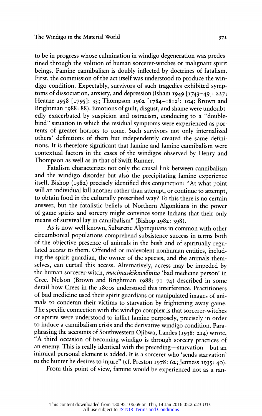**to be in progress whose culmination in windigo degeneration was predestined through the volition of human sorcerer-witches or malignant spirit beings. Famine cannibalism is doubly inflected by doctrines of fatalism. First, the commission of the act itself was understood to produce the windigo condition. Expectably, survivors of such tragedies exhibited symptoms of dissociation, anxiety, and depression (Isham 1949 [1743-49]: 227; Hearne I958 [1795]: 35; Thompson 1962 [1784-1812]: I04; Brown and Brightman 1988: 88). Emotions of guilt, disgust, and shame were undoubtedly exacerbated by suspicion and ostracism, conducing to a "doublebind" situation in which the residual symptoms were experienced as portents of greater horrors to come. Such survivors not only internalized others' definitions of them but independently created the same definitions. It is therefore significant that famine and famine cannibalism were contextual factors in the cases of the windigos observed by Henry and Thompson as well as in that of Swift Runner.** 

**Fatalism characterizes not only the causal link between cannibalism and the windigo disorder but also the precipitating famine experience itself. Bishop (I98z) precisely identified this conjunction: "At what point will an individual kill another rather than attempt, or continue to attempt, to obtain food in the culturally prescribed way? To this there is no certain answer, but the fatalistic beliefs of Northern Algonkians in the power of game spirits and sorcery might convince some Indians that their only means of survival lay in cannibalism" (Bishop 1982: 398).** 

**As is now well known, Subarctic Algonquians in common with other circumboreal populations comprehend subsistence success in terms both of the objective presence of animals in the bush and of spiritually regulated access to them. Offended or malevolent nonhuman entities, including the spirit guardian, the owner of the species, and the animals themselves, can curtail this access. Alternatively, access may be impeded by**  the human sorcerer-witch, *macimaskīkīwī* $\delta$ *iniw* 'bad medicine person' in **Cree. Nelson (Brown and Brightman I988: 7I-74) described in some detail how Crees in the i8oos understood this interference. Practitioners of bad medicine used their spirit guardians or manipulated images of animals to condemn their victims to starvation by frightening away game. The specific connection with the windigo complex is that sorcerer-witches or spirits were understood to inflict famine purposely, precisely in order to induce a cannibalism crisis and the derivative windigo condition. Paraphrasing the accounts of Southwestern Ojibwa, Landes (1938: 214) wrote, "A third occasion of becoming windigo is through sorcery practices of an enemy. This is really identical with the preceding-starvation-but an inimical personal element is added. It is a sorcerer who 'sends starvation' to the hunter he desires to injure" (cf. Preston 1978: 62; Jenness 1935: 40).** 

**From this point of view, famine would be experienced not as a ran-**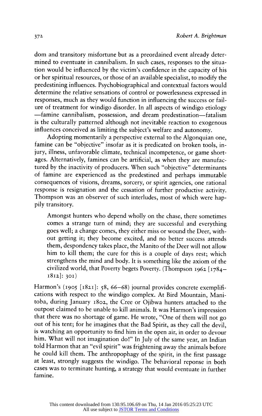**dom and transitory misfortune but as a preordained event already determined to eventuate in cannibalism. In such cases, responses to the situation would be influenced by the victim's confidence in the capacity of his or her spiritual resources, or those of an available specialist, to modify the predestining influences. Psychobiographical and contextual factors would determine the relative sensations of control or powerlessness expressed in responses, much as they would function in influencing the success or failure of treatment for windigo disorder. In all aspects of windigo etiology -famine cannibalism, possession, and dream predestination-fatalism is the culturally patterned although not inevitable reaction to exogenous influences conceived as limiting the subject's welfare and autonomy.** 

**Adopting momentarily a perspective external to the Algonquian one, famine can be "objective" insofar as it is predicated on broken tools, injury, illness, unfavorable climate, technical incompetence, or game shortages. Alternatively, famines can be artificial, as when they are manufactured by the inactivity of producers. When such "objective" determinants of famine are experienced as the predestined and perhaps immutable consequences of visions, dreams, sorcery, or spirit agencies, one rational response is resignation and the cessation of further productive activity. Thompson was an observer of such interludes, most of which were happily transitory.** 

**Amongst hunters who depend wholly on the chase, there sometimes comes a strange turn of mind; they are successful and everything goes well; a change comes, they either miss or wound the Deer, without getting it; they become excited, and no better success attends them, despondency takes place, the Manito of the Deer will not allow him to kill them; the cure for this is a couple of days rest; which strengthens the mind and body. It is something like the axiom of the civilized world, that Poverty begets Poverty. (Thompson I962 [I784- I8Iz]: 30I)** 

Harmon's (1905 [1821]: 58, 66–68) journal provides concrete exemplifi**cations with respect to the windigo complex. At Bird Mountain, Manitoba, during January i8oz, the Cree or Ojibwa hunters attached to the outpost claimed to be unable to kill animals. It was Harmon's impression that there was no shortage of game. He wrote, "One of them will not go out of his tent; for he imagines that the Bad Spirit, as they call the devil, is watching an opportunity to find him in the open air, in order to devour him. What will not imagination do!" In July of the same year, an Indian told Harmon that an "evil spirit" was frightening away the animals before he could kill them. The anthropophagy of the spirit, in the first passage at least, strongly suggests the windigo. The behavioral reponse in both cases was to terminate hunting, a strategy that would eventuate in further famine.**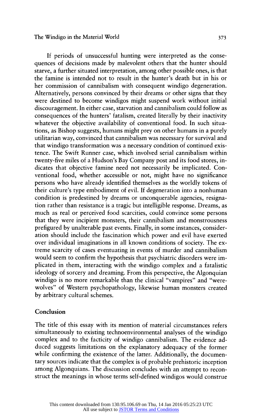**If periods of unsuccessful hunting were interpreted as the consequences of decisions made by malevolent others that the hunter should starve, a further situated interpretation, among other possible ones, is that the famine is intended not to result in the hunter's death but in his or her commission of cannibalism with consequent windigo degeneration. Alternatively, persons convinced by their dreams or other signs that they were destined to become windigos might suspend work without initial discouragement. In either case, starvation and cannibalism could follow as consequences of the hunters' fatalism, created literally by their inactivity whatever the objective availability of conventional food. In such situations, as Bishop suggests, humans might prey on other humans in a purely utilitarian way, convinced that cannibalism was necessary for survival and that windigo transformation was a necessary condition of continued existence. The Swift Runner case, which involved serial cannibalism within twenty-five miles of a Hudson's Bay Company post and its food stores, indicates that objective famine need not necessarily be implicated. Conventional food, whether accessible or not, might have no significance persons who have already identified themselves as the worldly tokens of their culture's type embodiment of evil. If degeneration into a nonhuman condition is predestined by dreams or unconquerable agencies, resignation rather than resistance is a tragic but intelligible response. Dreams, as much as real or perceived food scarcities, could convince some persons that they were incipient monsters, their cannibalism and monstrousness prefigured by unalterable past events. Finally, in some instances, consideration should include the fascination which power and evil have exerted over individual imaginations in all known conditions of society. The extreme scarcity of cases eventuating in events of murder and cannibalism would seem to confirm the hypothesis that psychiatric disorders were implicated in them, interacting with the windigo complex and a fatalistic ideology of sorcery and dreaming. From this perspective, the Algonquian windigo is no more remarkable than the clinical "vampires" and "werewolves" of Western psychopathology, likewise human monsters created by arbitrary cultural schemes.** 

## **Conclusion**

**The title of this essay with its mention of material circumstances refers simultaneously to existing technoenvironmental analyses of the windigo complex and to the facticity of windigo cannibalism. The evidence adduced suggests limitations on the explanatory adequacy of the former while confirming the existence of the latter. Additionally, the documentary sources indicate that the complex is of probable prehistoric inception among Algonquians. The discussion concludes with an attempt to reconstruct the meanings in whose terms self-defined windigos would construe**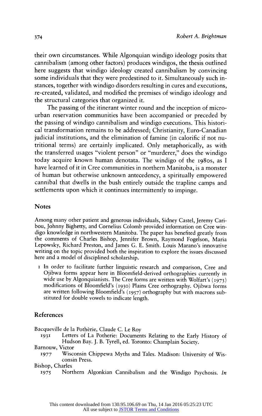**their own circumstances. While Algonquian windigo ideology posits that cannibalism (among other factors) produces windigos, the thesis outlined here suggests that windigo ideology created cannibalism by convincing some individuals that they were predestined to it. Simultaneously such instances, together with windigo disorders resulting in cures and executions, re-created, validated, and modified the premises of windigo ideology and the structural categories that organized it.** 

**The passing of the itinerant winter round and the inception of microurban reservation communities have been accompanied or preceded by the passing of windigo cannibalism and windigo executions. This historical transformation remains to be addressed; Christianity, Euro-Canadian judicial institutions, and the elimination of famine (in calorific if not nutritional terms) are certainly implicated. Only metaphorically, as with the transferred usages "violent person" or "murderer," does the windigo today acquire known human denotata. The windigo of the I98os, as I have learned of it in Cree communities in northern Manitoba, is a monster of human but otherwise unknown antecedency, a spiritually empowered cannibal that dwells in the bush entirely outside the trapline camps and settlements upon which it continues intermittently to impinge.** 

#### **Notes**

**Among many other patient and generous individuals, Sidney Castel, Jeremy Caribou, Johnny Bighetty, and Cornelius Colomb provided information on Cree windigo knowledge in northwestern Manitoba. The paper has benefited greatly from the comments of Charles Bishop, Jennifer Brown, Raymond Fogelson, Maria Lepowsky, Richard Preston, and James G. E. Smith. Louis Marano's innovative writing on the topic provided both the inspiration to explore the issues discussed here and a model of disciplined scholarship.** 

**i In order to facilitate further linguistic research and comparison, Cree and Ojibwa forms appear here in Bloomfield-derived orthographies currently in wide use by Algonquianists. The Cree forms are written with Wolfart's (1973) modifications of Bloomfield's (I930) Plains Cree orthography. Ojibwa forms are written following Bloomfield's (1957) orthography but with macrons substituted for double vowels to indicate length.** 

## **References**

**Bacqueville de la Potherie, Claude C. Le Roy** 

- Letters of La Potherie: Documents Relating to the Early History of **Hudson Bay. J. B. Tyrell, ed. Toronto: Champlain Society.**
- **Barnouw, Victor** 
	- Wisconsin Chippewa Myths and Tales. Madison: University of Wis**consin Press.**

# **Bishop, Charles**

Northern Algonkian Cannibalism and the Windigo Psychosis. In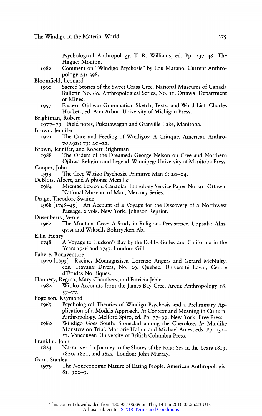**Psychological Anthropology. T. R. Williams, ed. Pp. 237-48. The Hague: Mouton.** 

- **1982 Comment on "Windigo Psychosis" by Lou Marano. Current Anthropology z3: 398.**
- **Bloomfield, Leonard** 
	- **1930 Sacred Stories of the Sweet Grass Cree. National Museums of Canada Bulletin No. 60; Anthropological Series, No. ii. Ottawa: Department of Mines.**
	- **1957 Eastern Ojibwa: Grammatical Sketch, Texts, and Word List. Charles Hockett, ed. Ann Arbor: University of Michigan Press.**
- **Brightman, Robert**
- **1977-79 Field notes, Pukatawagan and Granville Lake, Manitoba.**

**Brown, Jennifer** 

- The Cure and Feeding of Windigos: A Critique. American Anthro**pologist 73: 20-22.**
- **Brown, Jennifer, and Robert Brightman**

The Orders of the Dreamed: George Nelson on Cree and Northern **Ojibwa Religion and Legend. Winnipeg: University of Manitoba Press.** 

- **Cooper, John**
- **1933 The Cree Witiko Psychosis. Primitive Man 6: 20-24.**
- **DeBlois, Albert, and Alphonse Metallic** 
	- **I984 Micmac Lexicon. Canadian Ethnology Service Paper No. 91. Ottawa: National Museum of Man, Mercury Series.**
- **Drage, Theodore Swaine** 
	- **1968 [1748-49] An Account of a Voyage for the Discovery of a Northwest Passage. 2 vols. New York: Johnson Reprint.**
- **Dusenberry, Verne**
- **1962 The Montana Cree: A Study in Religious Persistence. Uppsala: Almqvist and Wiksells Boktryckeri Ab.**
- **Ellis, Henry** 
	- **I748 A Voyage to Hudson's Bay by the Dobbs Galley and California in the Years 1746 and 1747. London: Gill.**
- **Fabvre, Bonaventure** 
	- **1970 [1695] Racines Montagnaises. Lorenzo Angers and Gerard McNulty, eds. Travaux Divers, No. 29. Quebec: Universite Laval, Centre d'Etudes Nordiques.**
- **Flannery, Regina, Mary Chambers, and Patricia Jehle** 
	- Witiko Accounts from the James Bay Cree. Arctic Anthropology 18: **57-77.**
- **Fogelson, Raymond** 
	- Psychological Theories of Windigo Psychosis and a Preliminary Ap**plication of a Models Approach. In Context and Meaning in Cultural Anthropology. Melford Spiro, ed. Pp. 77-99. New York: Free Press.**
	- **1980 Windigo Goes South: Stoneclad among the Cherokee. In Manlike Monsters on Trial. Marjorie Halpin and Michael Ames, eds. Pp. 132- 51. Vancouver: University of British Columbia Press.**

**Franklin, John** 

Narrative of a Journey to the Shores of the Polar Sea in the Years 1819, **1820, 1821, and 1822. London: John Murray.** 

**Garn, Stanley** 

**1979 The Noneconomic Nature of Eating People. American Anthropologist 81: 90z-3.**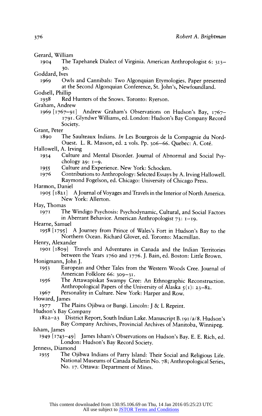Gerard, William<br><sup>1904</sup> The

**1904 The Tapehanek Dialect of Virginia. American Anthropologist 6: 33- 30.** 

**Goddard, Ives** 

**I969 Owls and Cannibals: Two Algonquian Etymologies. Paper presented at the Second Algonquian Conference, St. John's, Newfoundland.** 

**Godsell, Phillip** 

Red Hunters of the Snows. Toronto: Ryerson.

**Graham, Andrew** 

- Andrew Graham's Observations on Hudson's Bay, 1767-**I79I. Glyndwr Williams, ed. London: Hudson's Bay Company Record Society.**
- **Grant, Peter** 
	- The Saulteaux Indians. *In Les Bourgeois de la Compagnie du Nord-***Ouest. L. R. Masson, ed. z vols. Pp. 306-66. Quebec: A. Cote.**

**Hallowell, A. Irving** 

- **1934 Culture and Mental Disorder. Journal of Abnormal and Social Psychology 29: I-9.**
- **1955 Culture and Experience. New York: Schocken.**
- Contributions to Anthropology: Selected Essays by A. Irving Hallowell. **Raymond Fogelson, ed. Chicago: University of Chicago Press.**

**Harmon, Daniel** 

**1905 [i8zi] A Journal of Voyages and Travels in the Interior of North America. New York: Allerton.** 

**Hay, Thomas** 

**197I The Windigo Psychosis: Psychodynamic, Cultural, and Social Factors in Aberrant Behavior. American Anthropologist 73: 1-19.** 

**Hearne, Samuel** 

**I958 [1795] A Journey from Prince of Wales's Fort in Hudson's Bay to the Northern Ocean. Richard Glover, ed. Toronto: Macmillan.** 

**Henry, Alexander** 

**190o [1809] Travels and Adventures in Canada and the Indian Territories between the Years 1760 and I776. J. Bain, ed. Boston: Little Brown.** 

**Honigmann, John J.** 

- **1953 European and Other Tales from the Western Woods Cree. Journal of American Folklore 66: 309-31.**
- **1956 The Attawapiskat Swampy Cree: An Ethnographic Reconstruction. Anthropological Papers of the University of Alaska 5(I): 23-82.**

**<sup>1967</sup>Personality in Culture. New York: Harper and Row.** 

**Howard, James** 

- The Plains Ojibwa or Bungi. Lincoln: J & L Reprint.
- **Hudson's Bay Company**

**1822-23 District Report, South Indian Lake. Manuscript B.i9i/a/8. Hudson's Bay Company Archives, Provincial Archives of Manitoba, Winnipeg.** 

**Isham, James** 

**I949 [1743-49] James Isham's Observations on Hudson's Bay. E. E. Rich, ed. London: Hudson's Bay Record Society.** 

**Jenness, Diamond** 

**1935 The Ojibwa Indians of Parry Island: Their Social and Religious Life. National Museums of Canada Bulletin No. 78; Anthropological Series, No. 17. Ottawa: Department of Mines.**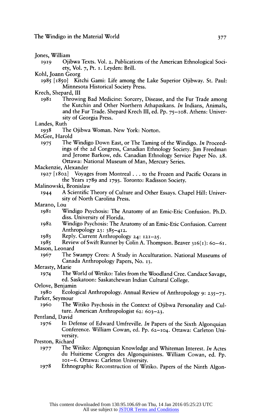**Jones, William** 

**I9I9 Ojibwa Texts. Vol. z. Publications of the American Ethnological Society, Vol. 7, Pt. i. Leyden: Brill.** 

**Kohl, Joann Georg** 

**1985 [i850] Kitchi Gami: Life among the Lake Superior Ojibway. St. Paul: Minnesota Historical Society Press.** 

**Krech, Shepard, III** 

- **1981 Throwing Bad Medicine: Sorcery, Disease, and the Fur Trade among the Kutchin and Other Northern Athapaskans. In Indians, Animals,**  and the Fur Trade. Shepard Krech III, ed. Pp. 75-108. Athens: Univer**sity of Georgia Press.**
- **Landes, Ruth**
- The Ojibwa Woman. New York: Norton.

**McGee, Harold** 

- **1975 The Windigo Down East, or The Taming of the Windigo. In Proceedings of the zd Congress, Canadian Ethnology Society. Jim Freedman and Jerome Barkow, eds. Canadian Ethnology Service Paper No. z8. Ottawa: National Museum of Man, Mercury Series.**
- **Mackenzie, Alexander**

**1927 [I8oz] Voyages from Montreal... to the Frozen and Pacific Oceans in the Years 1789 and I793. Toronto: Radisson Society.** 

- **Malinowski, Bronislaw** 
	- **1944 A Scientific Theory of Culture and Other Essays. Chapel Hill: University of North Carolina Press.**

**Marano, Lou** 

- **I98I Windigo Psychosis: The Anatomy of an Emic-Etic Confusion. Ph.D. diss. University of Florida.**
- **1982 Windigo Psychosis: The Anatomy of an Emic-Etic Confusion. Current Anthropology 23: 385-412.**
- **I983 Reply. Current Anthropology z4: 121-25.**
- Review of Swift Runner by Colin A. Thompson. Beaver 316(1): 60-61.

**Mason, Leonard** 

The Swampy Crees: A Study in Acculturation. National Museums of **Canada Anthropology Papers, No. 13.** 

**Merasty, Marie** 

**1974 The World of Wetiko: Tales from the Woodland Cree. Candace Savage, ed. Saskatoon: Saskatchewan Indian Cultural College.** 

**Orlove, Benjamin** 

**<sup>1980</sup>Ecological Anthropology. Annual Review of Anthropology 9: 235-73. Parker, Seymour** 

- **1960 The Witiko Psychosis in the Context of Ojibwa Personality and Culture. American Anthropologist 6z: 603-23.**
- Pentland, David<br>**1976** In D
	- **1976 In Defense of Edward Umfreville. In Papers of the Sixth Algonquian Conference. William Cowan, ed. Pp. 62-104. Ottawa: Carleton University.**
- **Preston, Richard** 
	- **1977 The Witiko: Algonquian Knowledge and Whiteman Interest. In Actes du Huitieme Congres des Algonquinistes. William Cowan, ed. Pp. ioi-6. Ottawa: Carleton University.**
	- **1978 Ethnographic Reconstruction of Witiko. Papers of the Ninth Algon-**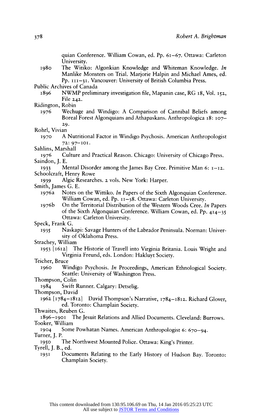**quian Conference. William Cowan, ed. Pp. 61-67. Ottawa: Carleton University.** 

- **1980 The Witiko: Algonkian Knowledge and Whiteman Knowledge. In Manlike Monsters on Trial. Marjorie Halpin and Michael Ames, ed. Pp. III-31. Vancouver: University of British Columbia Press.**
- **Public Archives of Canada** 
	- **I896 NWMP preliminary investigation file, Mapanin case, RG i8, Vol. 152, File 242.**
- **Ridington, Robin** 
	- Wechuge and Windigo: A Comparison of Cannibal Beliefs among **Boreal Forest Algonquians and Athapaskans. Anthropologica i8: 107- 29.**
- **Rohrl, Vivian** 
	- **1970 A Nutritional Factor in Windigo Psychosis. American Anthropologist 72: 97-IOI.**
- **Sahlins, Marshall**

**1976 Culture and Practical Reason. Chicago: University of Chicago Press. Saindon, J. E.** 

- **1933 Mental Disorder among the James Bay Cree. Primitive Man 6: I-I2. Schoolcraft, Henry Rowe**
- **1939 Algic Researches. z vols. New York: Harper.**
- **Smith, James G. E.** 
	- Notes on the Wittiko. *In Papers of the Sixth Algonquian Conference*. **William Cowan, ed. Pp. II-38. Ottawa: Carleton University.**
	- **I976b On the Territorial Distribution of the Western Woods Cree. In Papers of the Sixth Algonquian Conference. William Cowan, ed. Pp. 414-35 Ottawa: Carleton University.**
- **Speck, Frank G.** 
	- **1935 Naskapi: Savage Hunters of the Labrador Peninsula. Norman: University of Oklahoma Press.**
- **Strachey, William** 
	- **1953 [1612] The Historie of Travell into Virginia Britania. Louis Wright and Virginia Freund, eds. London: Hakluyt Society.**
- **Teicher, Bruce** 
	- **I960 Windigo Psychosis. In Proceedings, American Ethnological Society. Seattle: University of Washington Press.**
- **Thompson, Colin**
- Swift Runner. Calgary: Detselig.
- **Thompson, David** 
	- **1962 [1784-1812] David Thompson's Narrative, 1784-1812. Richard Glover, ed. Toronto: Champlain Society.**
- **Thwaites, Reuben G.**
- The Jesuit Relations and Allied Documents. Cleveland: Burrows. **Tooker, William**
- **1904 Some Powhatan Names. American Anthropologist 6: 670-94.**

**Turner, J. P.** 

- The Northwest Mounted Police. Ottawa: King's Printer.
- **Tyrell, J. B., ed. 1931 Documents Relating to the Early History of Hudson Bay. Toronto: Champlain Society.**